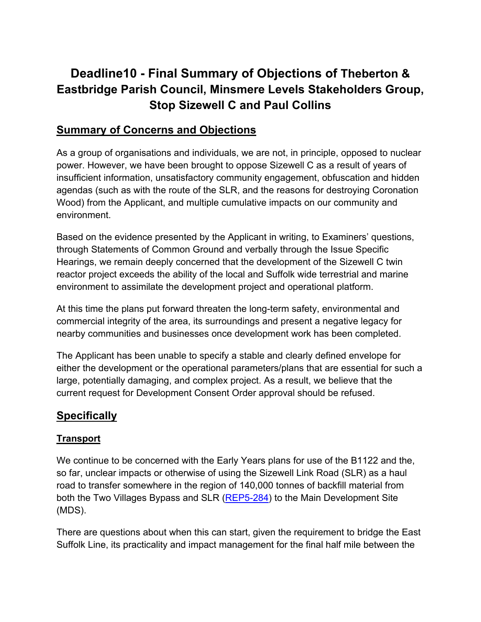# **Deadline10 - Final Summary of Objections of Theberton & Eastbridge Parish Council, Minsmere Levels Stakeholders Group, Stop Sizewell C and Paul Collins**

# **Summary of Concerns and Objections**

As a group of organisations and individuals, we are not, in principle, opposed to nuclear power. However, we have been brought to oppose Sizewell C as a result of years of insufficient information, unsatisfactory community engagement, obfuscation and hidden agendas (such as with the route of the SLR, and the reasons for destroying Coronation Wood) from the Applicant, and multiple cumulative impacts on our community and environment.

Based on the evidence presented by the Applicant in writing, to Examiners' questions, through Statements of Common Ground and verbally through the Issue Specific Hearings, we remain deeply concerned that the development of the Sizewell C twin reactor project exceeds the ability of the local and Suffolk wide terrestrial and marine environment to assimilate the development project and operational platform.

At this time the plans put forward threaten the long-term safety, environmental and commercial integrity of the area, its surroundings and present a negative legacy for nearby communities and businesses once development work has been completed.

The Applicant has been unable to specify a stable and clearly defined envelope for either the development or the operational parameters/plans that are essential for such a large, potentially damaging, and complex project. As a result, we believe that the current request for Development Consent Order approval should be refused.

# **Specifically**

# **Transport**

We continue to be concerned with the Early Years plans for use of the B1122 and the, so far, unclear impacts or otherwise of using the Sizewell Link Road (SLR) as a haul road to transfer somewhere in the region of 140,000 tonnes of backfill material from both the Two Villages Bypass and SLR [\(REP5-284\)](https://infrastructure.planninginspectorate.gov.uk/wp-content/ipc/uploads/projects/EN010012/EN010012-006179-DL5%20-%20Theberton%20and%20Eastbridge%20Parish%20Council%20-%20Other-%20Issue%20Specific%20Hearing%20Summaries%201.pdf) to the Main Development Site (MDS).

There are questions about when this can start, given the requirement to bridge the East Suffolk Line, its practicality and impact management for the final half mile between the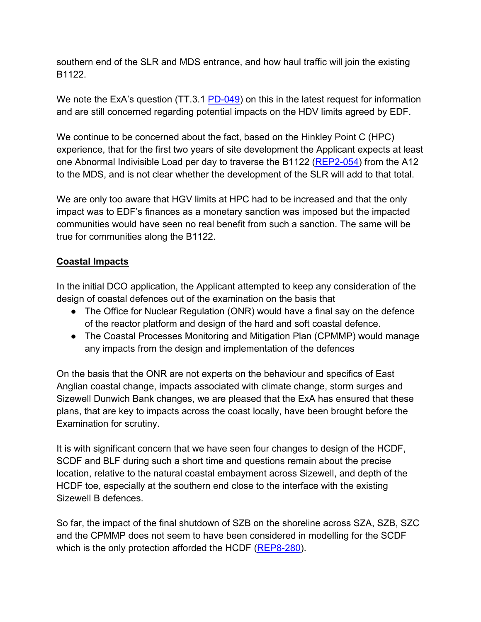southern end of the SLR and MDS entrance, and how haul traffic will join the existing B1122.

We note the ExA's question (TT.3.1 [PD-049\)](https://infrastructure.planninginspectorate.gov.uk/wp-content/ipc/uploads/projects/EN010012/EN010012-007231-ExQ3_Part_6.pdf) on this in the latest request for information and are still concerned regarding potential impacts on the HDV limits agreed by EDF.

We continue to be concerned about the fact, based on the Hinkley Point C (HPC) experience, that for the first two years of site development the Applicant expects at least one Abnormal Indivisible Load per day to traverse the B1122 [\(REP2-054\)](https://infrastructure.planninginspectorate.gov.uk/wp-content/ipc/uploads/projects/EN010012/EN010012-004831-D2%20-%20Sizewell%20C%20Project%20-%20Other-%20Construction%20Traffic%20Management%20Plan.pdf) from the A12 to the MDS, and is not clear whether the development of the SLR will add to that total.

We are only too aware that HGV limits at HPC had to be increased and that the only impact was to EDF's finances as a monetary sanction was imposed but the impacted communities would have seen no real benefit from such a sanction. The same will be true for communities along the B1122.

# **Coastal Impacts**

In the initial DCO application, the Applicant attempted to keep any consideration of the design of coastal defences out of the examination on the basis that

- The Office for Nuclear Regulation (ONR) would have a final say on the defence of the reactor platform and design of the hard and soft coastal defence.
- The Coastal Processes Monitoring and Mitigation Plan (CPMMP) would manage any impacts from the design and implementation of the defences

On the basis that the ONR are not experts on the behaviour and specifics of East Anglian coastal change, impacts associated with climate change, storm surges and Sizewell Dunwich Bank changes, we are pleased that the ExA has ensured that these plans, that are key to impacts across the coast locally, have been brought before the Examination for scrutiny.

It is with significant concern that we have seen four changes to design of the HCDF, SCDF and BLF during such a short time and questions remain about the precise location, relative to the natural coastal embayment across Sizewell, and depth of the HCDF toe, especially at the southern end close to the interface with the existing Sizewell B defences.

So far, the impact of the final shutdown of SZB on the shoreline across SZA, SZB, SZC and the CPMMP does not seem to have been considered in modelling for the SCDF which is the only protection afforded the HCDF [\(REP8-280\)](https://infrastructure.planninginspectorate.gov.uk/wp-content/ipc/uploads/projects/EN010012/EN010012-007440-DL8%20-%20Minsmere%20Levels%20Stakeholders%20Group%20-%20Post%20Hearing%20submissions%20including%20written%20submissions%20of%20oral%20case.pdf).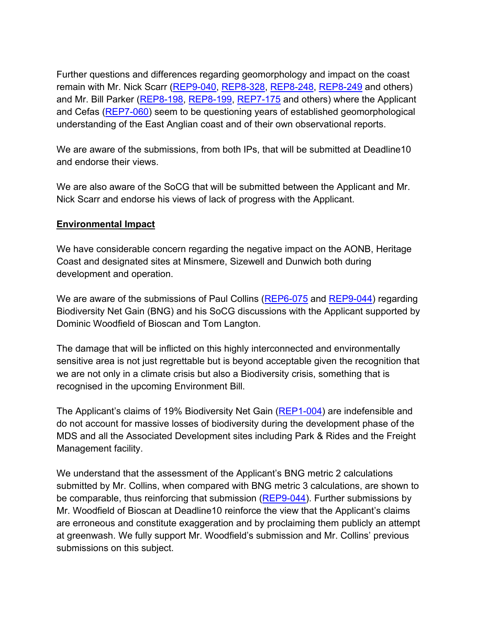Further questions and differences regarding geomorphology and impact on the coast remain with Mr. Nick Scarr [\(REP9-040,](https://infrastructure.planninginspectorate.gov.uk/wp-content/ipc/uploads/projects/EN010012/EN010012-007770-DL9%20-%20Nick%20Scarr%20-%20Responses%20to%20any%20further%20information%20and%20notifications%20requested%20by%20the%20ExA%20for%20this%20Deadline.pdf) [REP8-328,](https://infrastructure.planninginspectorate.gov.uk/wp-content/ipc/uploads/projects/EN010012/EN010012-007762-DL8%20-%20Nick%20Scarr%20-%20Late%20Submission.pdf) [REP8-248,](https://infrastructure.planninginspectorate.gov.uk/wp-content/ipc/uploads/projects/EN010012/EN010012-007354-DL8%20-%20Nick%20Scarr%20-%20Other-%20Responses%20to%20D7%20submissions.pdf) [REP8-249](https://infrastructure.planninginspectorate.gov.uk/wp-content/ipc/uploads/projects/EN010012/EN010012-007358-DL8%20-%20Nick%20Scarr%20-%20Comments%20on%20D7%20Submissions.pdf) and others) and Mr. Bill Parker [\(REP8-198,](https://infrastructure.planninginspectorate.gov.uk/wp-content/ipc/uploads/projects/EN010012/EN010012-007360-DL8%20-%20Bill%20Parker%20-%20Post%20Hearing%20submissions%20including%20written%20submissions%20of%20oral%20case.pdf) [REP8-199,](https://infrastructure.planninginspectorate.gov.uk/wp-content/ipc/uploads/projects/EN010012/EN010012-007655-DL8%20-%20Bill%20Parker%20-%20Responses%20to%20the%20ExA%E2%80%99s%20third%20Written%20Questions.pdf) [REP7-175](https://infrastructure.planninginspectorate.gov.uk/wp-content/ipc/uploads/projects/EN010012/EN010012-006880-DL7%20-%20Bill%20Parker%20-%20Responses%20to%20any%20further%20information%20requested%20by%20the%20ExA%20for%20this%20Deadline.pdf) and others) where the Applicant and Cefas [\(REP7-060\)](https://infrastructure.planninginspectorate.gov.uk/wp-content/ipc/uploads/projects/EN010012/EN010012-007209-SZC_Bk9_9.73_Comments_on_Earlier_Submissions_and_ISH1-ISH6_Appendices_Part_1_of_3.pdf) seem to be questioning years of established geomorphological understanding of the East Anglian coast and of their own observational reports.

We are aware of the submissions, from both IPs, that will be submitted at Deadline10 and endorse their views.

We are also aware of the SoCG that will be submitted between the Applicant and Mr. Nick Scarr and endorse his views of lack of progress with the Applicant.

# **Environmental Impact**

We have considerable concern regarding the negative impact on the AONB, Heritage Coast and designated sites at Minsmere, Sizewell and Dunwich both during development and operation.

We are aware of the submissions of Paul Collins [\(REP6-075](https://infrastructure.planninginspectorate.gov.uk/wp-content/ipc/uploads/projects/EN010012/EN010012-006616-DL6%20-%20Theberton%20and%20Eastbridge%20Parish%20Council,%20Stop%20Sizewell%20C%20and%20Paul%20Collins-%20Other-%20Issue%20Specific%20Hearing%207%20Additional%20Submission.pdf) and [REP9-044\)](https://infrastructure.planninginspectorate.gov.uk/wp-content/ipc/uploads/projects/EN010012/EN010012-007834-DL9%20-%20Theberton%20and%20Eastbridge%20Parish%20Council%20-%20Late%20Submission.pdf) regarding Biodiversity Net Gain (BNG) and his SoCG discussions with the Applicant supported by Dominic Woodfield of Bioscan and Tom Langton.

The damage that will be inflicted on this highly interconnected and environmentally sensitive area is not just regrettable but is beyond acceptable given the recognition that we are not only in a climate crisis but also a Biodiversity crisis, something that is recognised in the upcoming Environment Bill.

The Applicant's claims of 19% Biodiversity Net Gain [\(REP1-004\)](https://infrastructure.planninginspectorate.gov.uk/wp-content/ipc/uploads/projects/EN010012/EN010012-003968-Sizewell%20C%20Project%20-%20Other-%20Deadline%201%20submission%20-%20Appendix%2014E%20Biodiversity%20Net%20Gain%20Report.pdf) are indefensible and do not account for massive losses of biodiversity during the development phase of the MDS and all the Associated Development sites including Park & Rides and the Freight Management facility.

We understand that the assessment of the Applicant's BNG metric 2 calculations submitted by Mr. Collins, when compared with BNG metric 3 calculations, are shown to be comparable, thus reinforcing that submission [\(REP9-044\)](https://infrastructure.planninginspectorate.gov.uk/wp-content/ipc/uploads/projects/EN010012/EN010012-007834-DL9%20-%20Theberton%20and%20Eastbridge%20Parish%20Council%20-%20Late%20Submission.pdf). Further submissions by Mr. Woodfield of Bioscan at Deadline10 reinforce the view that the Applicant's claims are erroneous and constitute exaggeration and by proclaiming them publicly an attempt at greenwash. We fully support Mr. Woodfield's submission and Mr. Collins' previous submissions on this subject.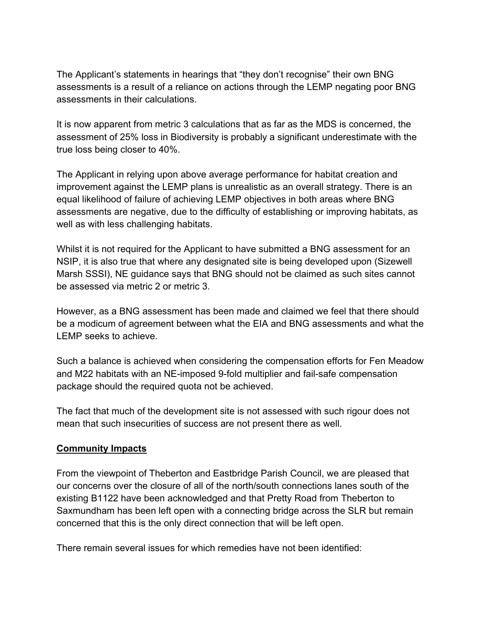The Applicant's statements in hearings that "they don't recognise" their own BNG assessments is a result of a reliance on actions through the LEMP negating poor BNG assessments in their calculations.

It is now apparent from metric 3 calculations that as far as the MDS is concerned, the assessment of 25% loss in Biodiversity is probably a significant underestimate with the true loss being closer to 40%.

The Applicant in relying upon above average performance for habitat creation and improvement against the LEMP plans is unrealistic as an overall strategy. There is an equal likelihood of failure of achieving LEMP objectives in both areas where BNG assessments are negative, due to the difficulty of establishing or improving habitats, as well as with less challenging habitats.

Whilst it is not required for the Applicant to have submitted a BNG assessment for an NSIP, it is also true that where any designated site is being developed upon (Sizewell Marsh SSSI), NE guidance says that BNG should not be claimed as such sites cannot be assessed via metric 2 or metric 3.

However, as a BNG assessment has been made and claimed we feel that there should be a modicum of agreement between what the EIA and BNG assessments and what the LEMP seeks to achieve.

Such a balance is achieved when considering the compensation efforts for Fen Meadow and M22 habitats with an NE-imposed 9-fold multiplier and fail-safe compensation package should the required quota not be achieved.

The fact that much of the development site is not assessed with such rigour does not mean that such insecurities of success are not present there as well.

# **Community Impacts**

From the viewpoint of Theberton and Eastbridge Parish Council, we are pleased that our concerns over the closure of all of the north/south connections lanes south of the existing B1122 have been acknowledged and that Pretty Road from Theberton to Saxmundham has been left open with a connecting bridge across the SLR but remain concerned that this is the only direct connection that will be left open.

There remain several issues for which remedies have not been identified: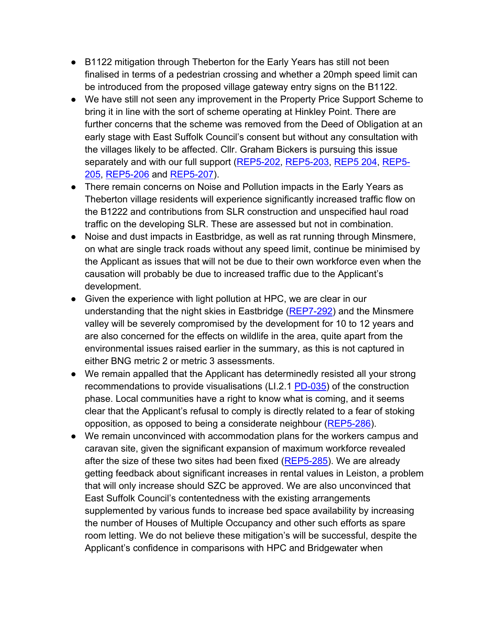- B1122 mitigation through Theberton for the Early Years has still not been finalised in terms of a pedestrian crossing and whether a 20mph speed limit can be introduced from the proposed village gateway entry signs on the B1122.
- We have still not seen any improvement in the Property Price Support Scheme to bring it in line with the sort of scheme operating at Hinkley Point. There are further concerns that the scheme was removed from the Deed of Obligation at an early stage with East Suffolk Council's consent but without any consultation with the villages likely to be affected. Cllr. Graham Bickers is pursuing this issue separately and with our full support [\(REP5-202,](https://infrastructure.planninginspectorate.gov.uk/wp-content/ipc/uploads/projects/EN010012/EN010012-006390-DL5%20-%20Graham%20I%20Bickers%20-%20Responses%20to%20any%20further%20information%20requested%20by%20the%20ExA%20for%20this%20Deadline%205.pdf) [REP5-203,](https://infrastructure.planninginspectorate.gov.uk/wp-content/ipc/uploads/projects/EN010012/EN010012-006387-DL5%20-%20Graham%20I%20Bickers%20-%20Responses%20to%20any%20further%20information%20requested%20by%20the%20ExA%20for%20this%20Deadline%202.pdf) [REP5 204,](https://infrastructure.planninginspectorate.gov.uk/wp-content/ipc/uploads/projects/EN010012/EN010012-006383-DL5%20-%20Graham%20I%20Bickers%20-%20Responses%20to%20any%20further%20information%20requested%20by%20the%20ExA%20for%20this%20Deadline.pdf) [REP5-](https://infrastructure.planninginspectorate.gov.uk/wp-content/ipc/uploads/projects/EN010012/EN010012-006385-DL5%20-%20Graham%20I%20Bickers%20-%20Responses%20to%20any%20further%20information%20requested%20by%20the%20ExA%20for%20this%20Deadline.pdf) [205,](https://infrastructure.planninginspectorate.gov.uk/wp-content/ipc/uploads/projects/EN010012/EN010012-006385-DL5%20-%20Graham%20I%20Bickers%20-%20Responses%20to%20any%20further%20information%20requested%20by%20the%20ExA%20for%20this%20Deadline.pdf) [REP5-206](https://infrastructure.planninginspectorate.gov.uk/wp-content/ipc/uploads/projects/EN010012/EN010012-006388-DL5%20-%20Graham%20I%20Bickers%20-%20Responses%20to%20any%20further%20information%20requested%20by%20the%20ExA%20for%20this%20Deadline%203.pdf) and [REP5-207\)](https://infrastructure.planninginspectorate.gov.uk/wp-content/ipc/uploads/projects/EN010012/EN010012-006389-DL5%20-%20Graham%20I%20Bickers%20-%20Responses%20to%20any%20further%20information%20requested%20by%20the%20ExA%20for%20this%20Deadline%204.pdf).
- There remain concerns on Noise and Pollution impacts in the Early Years as Theberton village residents will experience significantly increased traffic flow on the B1222 and contributions from SLR construction and unspecified haul road traffic on the developing SLR. These are assessed but not in combination.
- Noise and dust impacts in Eastbridge, as well as rat running through Minsmere, on what are single track roads without any speed limit, continue be minimised by the Applicant as issues that will not be due to their own workforce even when the causation will probably be due to increased traffic due to the Applicant's development.
- Given the experience with light pollution at HPC, we are clear in our understanding that the night skies in Eastbridge [\(REP7-292\)](https://infrastructure.planninginspectorate.gov.uk/wp-content/ipc/uploads/projects/EN010012/EN010012-007270-DL7%20-%20Theberton%20and%20Eastbridge%20Parish%20Council%20Eastbridge%20Dark%20Skies.pdf) and the Minsmere valley will be severely compromised by the development for 10 to 12 years and are also concerned for the effects on wildlife in the area, quite apart from the environmental issues raised earlier in the summary, as this is not captured in either BNG metric 2 or metric 3 assessments.
- We remain appalled that the Applicant has determinedly resisted all your strong recommendations to provide visualisations (LI.2.1 [PD-035\)](https://infrastructure.planninginspectorate.gov.uk/wp-content/ipc/uploads/projects/EN010012/EN010012-006495-Part%204.pdf) of the construction phase. Local communities have a right to know what is coming, and it seems clear that the Applicant's refusal to comply is directly related to a fear of stoking opposition, as opposed to being a considerate neighbour [\(REP5-286\)](https://infrastructure.planninginspectorate.gov.uk/wp-content/ipc/uploads/projects/EN010012/EN010012-006181-DL5%20-Theberton%20and%20Eastbridge%20Parish%20Council%20-%20Other-%20Issue%20Specific%20Hearing%20Summaries%203.pdf).
- We remain unconvinced with accommodation plans for the workers campus and caravan site, given the significant expansion of maximum workforce revealed after the size of these two sites had been fixed [\(REP5-285\)](https://infrastructure.planninginspectorate.gov.uk/wp-content/ipc/uploads/projects/EN010012/EN010012-006180-DL5%20-%20Theberton%20and%20Eastbridge%20Parish%20Council%20-%20Other-%20Issue%20Specific%20Hearing%20Summaries%202.pdf). We are already getting feedback about significant increases in rental values in Leiston, a problem that will only increase should SZC be approved. We are also unconvinced that East Suffolk Council's contentedness with the existing arrangements supplemented by various funds to increase bed space availability by increasing the number of Houses of Multiple Occupancy and other such efforts as spare room letting. We do not believe these mitigation's will be successful, despite the Applicant's confidence in comparisons with HPC and Bridgewater when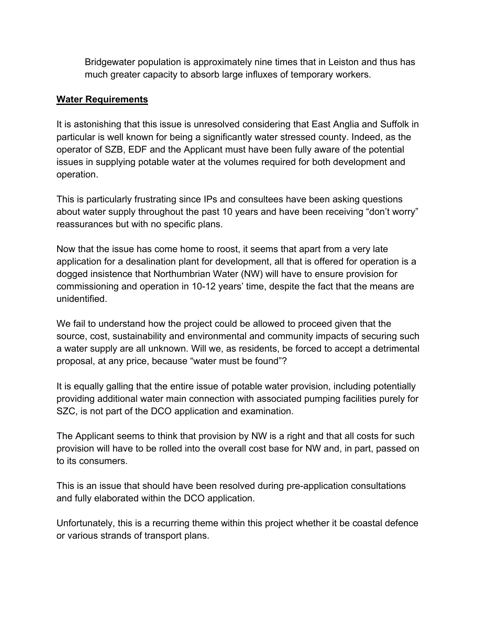Bridgewater population is approximately nine times that in Leiston and thus has much greater capacity to absorb large influxes of temporary workers.

# **Water Requirements**

It is astonishing that this issue is unresolved considering that East Anglia and Suffolk in particular is well known for being a significantly water stressed county. Indeed, as the operator of SZB, EDF and the Applicant must have been fully aware of the potential issues in supplying potable water at the volumes required for both development and operation.

This is particularly frustrating since IPs and consultees have been asking questions about water supply throughout the past 10 years and have been receiving "don't worry" reassurances but with no specific plans.

Now that the issue has come home to roost, it seems that apart from a very late application for a desalination plant for development, all that is offered for operation is a dogged insistence that Northumbrian Water (NW) will have to ensure provision for commissioning and operation in 10-12 years' time, despite the fact that the means are unidentified.

We fail to understand how the project could be allowed to proceed given that the source, cost, sustainability and environmental and community impacts of securing such a water supply are all unknown. Will we, as residents, be forced to accept a detrimental proposal, at any price, because "water must be found"?

It is equally galling that the entire issue of potable water provision, including potentially providing additional water main connection with associated pumping facilities purely for SZC, is not part of the DCO application and examination.

The Applicant seems to think that provision by NW is a right and that all costs for such provision will have to be rolled into the overall cost base for NW and, in part, passed on to its consumers.

This is an issue that should have been resolved during pre-application consultations and fully elaborated within the DCO application.

Unfortunately, this is a recurring theme within this project whether it be coastal defence or various strands of transport plans.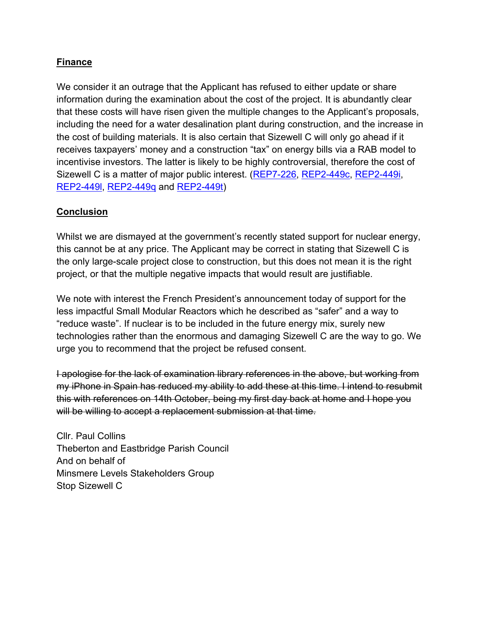# **Finance**

We consider it an outrage that the Applicant has refused to either update or share information during the examination about the cost of the project. It is abundantly clear that these costs will have risen given the multiple changes to the Applicant's proposals, including the need for a water desalination plant during construction, and the increase in the cost of building materials. It is also certain that Sizewell C will only go ahead if it receives taxpayers' money and a construction "tax" on energy bills via a RAB model to incentivise investors. The latter is likely to be highly controversial, therefore the cost of Sizewell C is a matter of major public interest. [\(REP7-226,](https://infrastructure.planninginspectorate.gov.uk/wp-content/ipc/uploads/projects/EN010012/EN010012-007113-DL7%20-%20Stop%20Sizewell%20C%20-%20Post%20Hearing%20submissions%20including%20written%20submissions%20of%20oral%20case%201.pdf) [REP2-449c,](https://infrastructure.planninginspectorate.gov.uk/wp-content/ipc/uploads/projects/EN010012/EN010012-004897-Stop%20Sizewell%20C%20-%20Summaries%20of%20all%20WRs%20exceeding%201500%20words%203.pdf) [REP2-449i,](https://infrastructure.planninginspectorate.gov.uk/wp-content/ipc/uploads/projects/EN010012/EN010012-004899-Stop%20Sizewell%20C%20-%20Summaries%20of%20all%20WRs%20exceeding%201500%20words%204.pdf) [REP2-449l,](https://infrastructure.planninginspectorate.gov.uk/wp-content/ipc/uploads/projects/EN010012/EN010012-004896-Stop%20Sizewell%20C%20-%20Written%20Representations%20(WRs)%203.pdf) [REP2-449q](https://infrastructure.planninginspectorate.gov.uk/wp-content/ipc/uploads/projects/EN010012/EN010012-004904-Stop%20Sizewell%20C%20-%20Written%20Representations%20(WRs)%208.pdf) and [REP2-449t\)](https://infrastructure.planninginspectorate.gov.uk/wp-content/ipc/uploads/projects/EN010012/EN010012-004898-Stop%20Sizewell%20C%20-%20Written%20Representations%20(WRs)%204.pdf)

# **Conclusion**

Whilst we are dismayed at the government's recently stated support for nuclear energy, this cannot be at any price. The Applicant may be correct in stating that Sizewell C is the only large-scale project close to construction, but this does not mean it is the right project, or that the multiple negative impacts that would result are justifiable.

We note with interest the French President's announcement today of support for the less impactful Small Modular Reactors which he described as "safer" and a way to "reduce waste". If nuclear is to be included in the future energy mix, surely new technologies rather than the enormous and damaging Sizewell C are the way to go. We urge you to recommend that the project be refused consent.

I apologise for the lack of examination library references in the above, but working from my iPhone in Spain has reduced my ability to add these at this time. I intend to resubmit this with references on 14th October, being my first day back at home and I hope you will be willing to accept a replacement submission at that time.

Cllr. Paul Collins Theberton and Eastbridge Parish Council And on behalf of Minsmere Levels Stakeholders Group Stop Sizewell C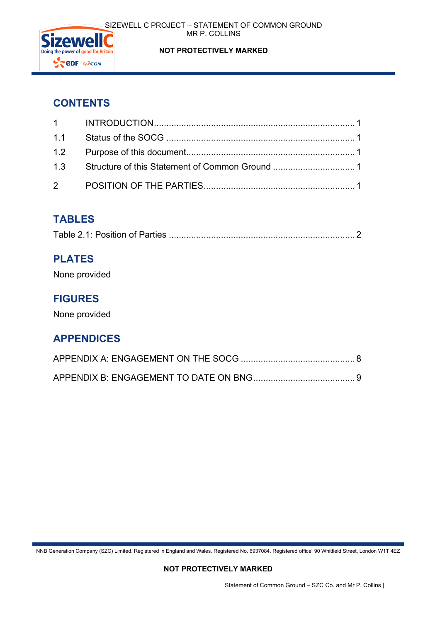

# SIZEWELL C PROJECT – STATEMENT OF COMMON GROUND MR P. COLLINS

# **NOT PROTECTIVELY MARKED**

# **CONTENTS**

# **TABLES**

|--|

# **PLATES**

None provided

# **FIGURES**

None provided

# **APPENDICES**

NNB Generation Company (SZC) Limited. Registered in England and Wales. Registered No. 6937084. Registered office: 90 Whitfield Street, London W1T 4EZ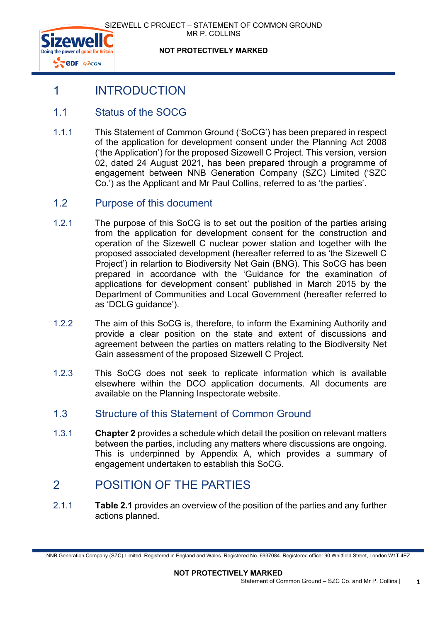



**NOT PROTECTIVELY MARKED**

# <span id="page-8-0"></span>1 INTRODUCTION

# <span id="page-8-1"></span>1.1 Status of the SOCG

- 1.1.1 This Statement of Common Ground ('SoCG') has been prepared in respect of the application for development consent under the Planning Act 2008 ('the Application') for the proposed Sizewell C Project. This version, version 02, dated 24 August 2021, has been prepared through a programme of engagement between NNB Generation Company (SZC) Limited ('SZC Co.') as the Applicant and Mr Paul Collins, referred to as 'the parties'.
- <span id="page-8-2"></span>1.2 Purpose of this document
- 1.2.1 The purpose of this SoCG is to set out the position of the parties arising from the application for development consent for the construction and operation of the Sizewell C nuclear power station and together with the proposed associated development (hereafter referred to as 'the Sizewell C Project') in relartion to Biodiversity Net Gain (BNG). This SoCG has been prepared in accordance with the 'Guidance for the examination of applications for development consent' published in March 2015 by the Department of Communities and Local Government (hereafter referred to as 'DCLG guidance').
- 1.2.2 The aim of this SoCG is, therefore, to inform the Examining Authority and provide a clear position on the state and extent of discussions and agreement between the parties on matters relating to the Biodiversity Net Gain assessment of the proposed Sizewell C Project.
- 1.2.3 This SoCG does not seek to replicate information which is available elsewhere within the DCO application documents. All documents are available on the Planning Inspectorate website.
- <span id="page-8-3"></span>1.3 Structure of this Statement of Common Ground
- 1.3.1 **Chapter 2** provides a schedule which detail the position on relevant matters between the parties, including any matters where discussions are ongoing. This is underpinned by Appendix A, which provides a summary of engagement undertaken to establish this SoCG.

# <span id="page-8-4"></span>2 POSITION OF THE PARTIES

2.1.1 **Table 2.1** provides an overview of the position of the parties and any further actions planned.

NNB Generation Company (SZC) Limited. Registered in England and Wales. Registered No. 6937084. Registered office: 90 Whitfield Street, London W1T 4EZ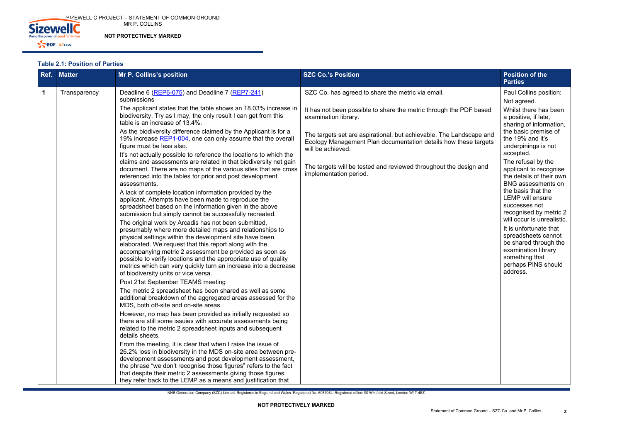

NNB Generation Company (SZC) Limited. Registered in England and Wales. Registered No. 6937084. Registered office: 90 Whitfield Street, London W1T 4EZ

# <span id="page-9-0"></span>**Table 2.1: Position of Parties**

| Ref. | <b>Matter</b> | Mr P. Collins's position                                                                                                                                                                                                                                                                                                                                                                                                                                                       | <b>SZC Co.'s Position</b>                                                                                                                                   | <b>Position of the</b><br><b>Parties</b>                                                                                                                                         |
|------|---------------|--------------------------------------------------------------------------------------------------------------------------------------------------------------------------------------------------------------------------------------------------------------------------------------------------------------------------------------------------------------------------------------------------------------------------------------------------------------------------------|-------------------------------------------------------------------------------------------------------------------------------------------------------------|----------------------------------------------------------------------------------------------------------------------------------------------------------------------------------|
|      | Transparency  | Deadline 6 (REP6-075) and Deadline 7 (REP7-241)<br>submissions                                                                                                                                                                                                                                                                                                                                                                                                                 | SZC Co. has agreed to share the metric via email.                                                                                                           | Paul Collins position:<br>Not agreed.                                                                                                                                            |
|      |               | The applicant states that the table shows an 18.03% increase in<br>biodiversity. Try as I may, the only result I can get from this<br>table is an increase of 13.4%.                                                                                                                                                                                                                                                                                                           | It has not been possible to share the metric through the PDF based<br>examination library.                                                                  | Whilst there has been<br>a positive, if late,<br>sharing of information,                                                                                                         |
|      |               | As the biodiversity difference claimed by the Applicant is for a<br>19% increase REP1-004, one can only assume that the overall<br>figure must be less also.                                                                                                                                                                                                                                                                                                                   | The targets set are aspirational, but achievable. The Landscape and<br>Ecology Management Plan documentation details how these targets<br>will be achieved. | the basic premise of<br>the 19% and it's<br>underpinings is not                                                                                                                  |
|      |               | It's not actually possible to reference the locations to which the<br>claims and assessments are related in that biodiversity net gain<br>document. There are no maps of the various sites that are cross<br>referenced into the tables for prior and post development<br>assessments.                                                                                                                                                                                         | The targets will be tested and reviewed throughout the design and<br>implementation period.                                                                 | accepted.<br>The refusal by the<br>applicant to recognise<br>the details of their own<br><b>BNG</b> assessments on                                                               |
|      |               | A lack of complete location information provided by the<br>applicant. Attempts have been made to reproduce the<br>spreadsheet based on the information given in the above<br>submission but simply cannot be successfully recreated.                                                                                                                                                                                                                                           |                                                                                                                                                             | the basis that the<br><b>LEMP</b> will ensure<br>successes not<br>recognised by metric 2                                                                                         |
|      |               | The original work by Arcadis has not been submitted,<br>presumably where more detailed maps and relationships to<br>physical settings within the development site have been<br>elaborated. We request that this report along with the<br>accompanying metric 2 assessment be provided as soon as<br>possible to verify locations and the appropriate use of quality<br>metrics which can very quickly turn an increase into a decrease<br>of biodiversity units or vice versa. |                                                                                                                                                             | will occur is unrealistic.<br>It is unfortunate that<br>spreadsheets cannot<br>be shared through the<br>examination library<br>something that<br>perhaps PINS should<br>address. |
|      |               | Post 21st September TEAMS meeting<br>The metric 2 spreadsheet has been shared as well as some<br>additional breakdown of the aggregated areas assessed for the<br>MDS, both off-site and on-site areas.                                                                                                                                                                                                                                                                        |                                                                                                                                                             |                                                                                                                                                                                  |
|      |               | However, no map has been provided as initially requested so<br>there are still some issuies with accurate assessments being<br>related to the metric 2 spreadsheet inputs and subsequent<br>details sheets.                                                                                                                                                                                                                                                                    |                                                                                                                                                             |                                                                                                                                                                                  |
|      |               | From the meeting, it is clear that when I raise the issue of<br>26.2% loss in biodiversity in the MDS on-site area between pre-<br>development assessments and post development assessment,<br>the phrase "we don't recognise those figures" refers to the fact<br>that despite their metric 2 assessments giving those figures<br>they refer back to the LEMP as a means and justification that                                                                               |                                                                                                                                                             |                                                                                                                                                                                  |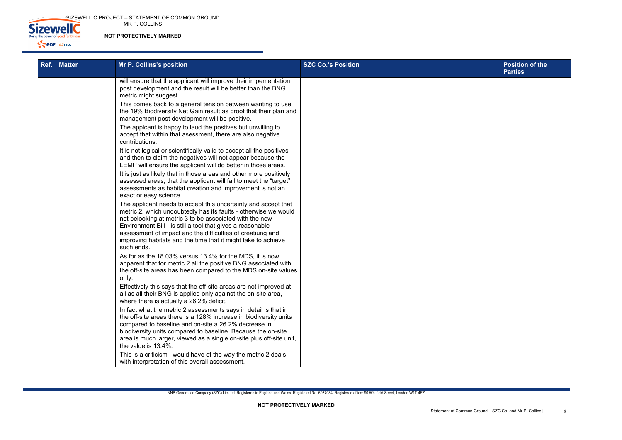SIZEWELL C PROJECT – STATEMENT OF COMMON GROUND MR P. COLLINS



# **NOT PROTECTIVELY MARKED**

| <b>Position of the</b><br>Parties |
|-----------------------------------|
|                                   |
|                                   |
|                                   |
|                                   |
|                                   |
|                                   |
|                                   |
|                                   |
|                                   |
|                                   |
|                                   |
|                                   |
|                                   |
|                                   |
|                                   |
|                                   |
|                                   |
|                                   |

| Ref. | <b>Matter</b> | Mr P. Collins's position                                                                                                                                                                                                                                                                                                                                                                                | <b>SZC Co.'s Position</b> | <b>Position of the</b><br><b>Parties</b> |
|------|---------------|---------------------------------------------------------------------------------------------------------------------------------------------------------------------------------------------------------------------------------------------------------------------------------------------------------------------------------------------------------------------------------------------------------|---------------------------|------------------------------------------|
|      |               | will ensure that the applicant will improve their impementation<br>post development and the result will be better than the BNG<br>metric might suggest.                                                                                                                                                                                                                                                 |                           |                                          |
|      |               | This comes back to a general tension between wanting to use<br>the 19% Biodiversity Net Gain result as proof that their plan and<br>management post development will be positive.                                                                                                                                                                                                                       |                           |                                          |
|      |               | The applcant is happy to laud the postives but unwilling to<br>accept that within that asessment, there are also negative<br>contributions.                                                                                                                                                                                                                                                             |                           |                                          |
|      |               | It is not logical or scientifically valid to accept all the positives<br>and then to claim the negatives will not appear because the<br>LEMP will ensure the applicant will do better in those areas.                                                                                                                                                                                                   |                           |                                          |
|      |               | It is just as likely that in those areas and other more positively<br>assessed areas, that the applicant will fail to meet the "target"<br>assessments as habitat creation and improvement is not an<br>exact or easy science.                                                                                                                                                                          |                           |                                          |
|      |               | The applicant needs to accept this uncertainty and accept that<br>metric 2, which undoubtedly has its faults - otherwise we would<br>not belooking at metric 3 to be associated with the new<br>Environment Bill - is still a tool that gives a reasonable<br>assessment of impact and the difficulties of creatiung and<br>improving habitats and the time that it might take to achieve<br>such ends. |                           |                                          |
|      |               | As for as the 18.03% versus 13.4% for the MDS, it is now<br>apparent that for metric 2 all the positive BNG associated with<br>the off-site areas has been compared to the MDS on-site values<br>only.                                                                                                                                                                                                  |                           |                                          |
|      |               | Effectively this says that the off-site areas are not improved at<br>all as all their BNG is applied only against the on-site area,<br>where there is actually a 26.2% deficit.                                                                                                                                                                                                                         |                           |                                          |
|      |               | In fact what the metric 2 assessments says in detail is that in<br>the off-site areas there is a 128% increase in biodiversity units<br>compared to baseline and on-site a 26.2% decrease in<br>biodiversity units compared to baseline. Because the on-site<br>area is much larger, viewed as a single on-site plus off-site unit,<br>the value is 13.4%.                                              |                           |                                          |
|      |               | This is a criticism I would have of the way the metric 2 deals<br>with interpretation of this overall assessment.                                                                                                                                                                                                                                                                                       |                           |                                          |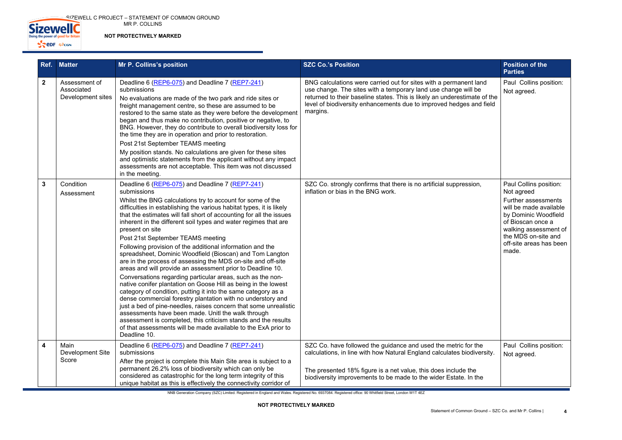**SIZEWELL C PROJECT – STATEMENT OF COMMON GROUND** MR P. COLLINS



**NOT PROTECTIVELY MARKED**

NNB Generation Company (SZC) Limited. Registered in England and Wales. Registered No. 6937084. Registered office: 90 Whitfield Street, London W1T 4EZ

| Ref.         | <b>Matter</b>                                    | Mr P. Collins's position                                                                                                                                                                                                                                                                                                                                                                                                                                                                                                                                                                                                                                                                                                                                                                                                                                                                                                                                                                                                                                                                                                                                                                                    | <b>SZC Co.'s Position</b>                                                                                                                                                                                                                                                                           | <b>Position of the</b><br><b>Parties</b>                                                                                                                                                                                      |
|--------------|--------------------------------------------------|-------------------------------------------------------------------------------------------------------------------------------------------------------------------------------------------------------------------------------------------------------------------------------------------------------------------------------------------------------------------------------------------------------------------------------------------------------------------------------------------------------------------------------------------------------------------------------------------------------------------------------------------------------------------------------------------------------------------------------------------------------------------------------------------------------------------------------------------------------------------------------------------------------------------------------------------------------------------------------------------------------------------------------------------------------------------------------------------------------------------------------------------------------------------------------------------------------------|-----------------------------------------------------------------------------------------------------------------------------------------------------------------------------------------------------------------------------------------------------------------------------------------------------|-------------------------------------------------------------------------------------------------------------------------------------------------------------------------------------------------------------------------------|
| $\mathbf{2}$ | Assessment of<br>Associated<br>Development sites | Deadline 6 (REP6-075) and Deadline 7 (REP7-241)<br>submissions<br>No evaluations are made of the two park and ride sites or<br>freight management centre, so these are assumed to be<br>restored to the same state as they were before the development<br>began and thus make no contribution, positive or negative, to<br>BNG. However, they do contribute to overall biodiversity loss for<br>the time they are in operation and prior to restoration.<br>Post 21st September TEAMS meeting<br>My position stands. No calculations are given for these sites<br>and optimistic statements from the applicant without any impact<br>assessments are not acceptable. This item was not discussed<br>in the meeting.                                                                                                                                                                                                                                                                                                                                                                                                                                                                                         | BNG calculations were carried out for sites with a permanent land<br>use change. The sites with a temporary land use change will be<br>returned to their baseline states. This is likely an underestimate of the<br>level of biodiversity enhancements due to improved hedges and field<br>margins. | Paul Collins position:<br>Not agreed.                                                                                                                                                                                         |
| $\mathbf{3}$ | Condition<br>Assessment                          | Deadline 6 (REP6-075) and Deadline 7 (REP7-241)<br>submissions<br>Whilst the BNG calculations try to account for some of the<br>difficulties in establishing the various habitat types, it is likely<br>that the estimates will fall short of accounting for all the issues<br>inherent in the different soil types and water regimes that are<br>present on site<br>Post 21st September TEAMS meeting<br>Following provision of the additional information and the<br>spreadsheet, Dominic Woodfield (Bioscan) and Tom Langton<br>are in the process of assessing the MDS on-site and off-site<br>areas and will provide an assessment prior to Deadline 10.<br>Conversations regarding particular areas, such as the non-<br>native conifer plantation on Goose Hill as being in the lowest<br>category of condition, putting it into the same category as a<br>dense commercial forestry plantation with no understory and<br>just a bed of pine-needles, raises concern that some unrealistic<br>assessments have been made. Unitl the walk through<br>assessment is completed, this criticism stands and the results<br>of that assessments will be made available to the ExA prior to<br>Deadline 10. | SZC Co. strongly confirms that there is no artificial suppression,<br>inflation or bias in the BNG work.                                                                                                                                                                                            | Paul Collins position:<br>Not agreed<br><b>Further assessments</b><br>will be made available<br>by Dominic Woodfield<br>of Bioscan once a<br>walking assessment of<br>the MDS on-site and<br>off-site areas has been<br>made. |
| 4            | Main<br>Development Site<br>Score                | Deadline 6 (REP6-075) and Deadline 7 (REP7-241)<br>submissions<br>After the project is complete this Main Site area is subject to a<br>permanent 26.2% loss of biodiversity which can only be<br>considered as catastrophic for the long term integrity of this<br>unique habitat as this is effectively the connectivity corridor of                                                                                                                                                                                                                                                                                                                                                                                                                                                                                                                                                                                                                                                                                                                                                                                                                                                                       | SZC Co. have followed the guidance and used the metric for the<br>calculations, in line with how Natural England calculates biodiversity.<br>The presented 18% figure is a net value, this does include the<br>biodiversity improvements to be made to the wider Estate. In the                     | Paul Collins position:<br>Not agreed.                                                                                                                                                                                         |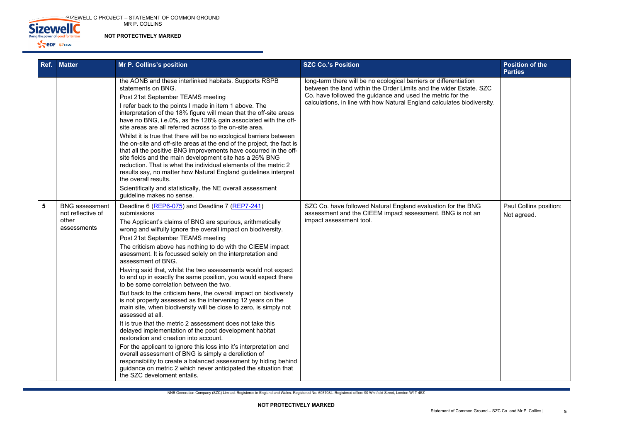$\sim$  <code>SIZEWELL C PROJECT – STATEMENT OF COMMON GROUND</code> MR P. COLLINS



**NOT PROTECTIVELY MARKED**

NNB Generation Company (SZC) Limited. Registered in England and Wales. Registered No. 6937084. Registered office: 90 Whitfield Street, London W1T 4EZ

| Ref. | <b>Matter</b>                                                      | <b>Mr P. Collins's position</b>                                                                                                                                                                                                                                                                                                                                                                                                                                                                                                                                                                                                                                                                                                                                                                                                                                                                                                                                                                                                                                                                                                                                                                                                                                       | <b>SZC Co.'s Position</b>                                                                                                                                                                                                                                                        | <b>Position of the</b><br><b>Parties</b> |
|------|--------------------------------------------------------------------|-----------------------------------------------------------------------------------------------------------------------------------------------------------------------------------------------------------------------------------------------------------------------------------------------------------------------------------------------------------------------------------------------------------------------------------------------------------------------------------------------------------------------------------------------------------------------------------------------------------------------------------------------------------------------------------------------------------------------------------------------------------------------------------------------------------------------------------------------------------------------------------------------------------------------------------------------------------------------------------------------------------------------------------------------------------------------------------------------------------------------------------------------------------------------------------------------------------------------------------------------------------------------|----------------------------------------------------------------------------------------------------------------------------------------------------------------------------------------------------------------------------------------------------------------------------------|------------------------------------------|
|      |                                                                    | the AONB and these interlinked habitats. Supports RSPB<br>statements on BNG.<br>Post 21st September TEAMS meeting<br>I refer back to the points I made in item 1 above. The<br>interpretation of the 18% figure will mean that the off-site areas<br>have no BNG, i.e.0%, as the 128% gain associated with the off-<br>site areas are all referred across to the on-site area.<br>Whilst it is true that there will be no ecological barriers between<br>the on-site and off-site areas at the end of the project, the fact is<br>that all the positive BNG improvements have occurred in the off-<br>site fields and the main development site has a 26% BNG<br>reduction. That is what the individual elements of the metric 2<br>results say, no matter how Natural England guidelines interpret<br>the overall results.<br>Scientifically and statistically, the NE overall assessment<br>guideline makes no sense.                                                                                                                                                                                                                                                                                                                                               | long-term there will be no ecological barriers or differentiation<br>between the land within the Order Limits and the wider Estate. SZC<br>Co. have followed the guidance and used the metric for the<br>calculations, in line with how Natural England calculates biodiversity. |                                          |
| 5    | <b>BNG</b> assessment<br>not reflective of<br>other<br>assessments | Deadline 6 (REP6-075) and Deadline 7 (REP7-241)<br>submissions<br>The Applicant's claims of BNG are spurious, arithmetically<br>wrong and wilfully ignore the overall impact on biodiversity.<br>Post 21st September TEAMS meeting<br>The criticism above has nothing to do with the CIEEM impact<br>asessment. It is focussed solely on the interpretation and<br>assessment of BNG.<br>Having said that, whilst the two assessments would not expect<br>to end up in exactly the same position, you would expect there<br>to be some correlation between the two.<br>But back to the criticism here, the overall impact on biodiversty<br>is not properly assessed as the intervening 12 years on the<br>main site, when biodiversity will be close to zero, is simply not<br>assessed at all.<br>It is true that the metric 2 assessment does not take this<br>delayed implementation of the post development habitat<br>restoration and creation into account.<br>For the applicant to ignore this loss into it's interpretation and<br>overall assessment of BNG is simply a dereliction of<br>responsibility to create a balanced assessment by hiding behind<br>guidance on metric 2 which never anticipated the situation that<br>the SZC develoment entails. | SZC Co. have followed Natural England evaluation for the BNG<br>assessment and the CIEEM impact assessment. BNG is not an<br>impact assessment tool.                                                                                                                             | Paul Collins pos<br>Not agreed.          |

|                    | <b>Position of the</b><br><b>Parties</b> |
|--------------------|------------------------------------------|
| 'n<br>te. SZC      |                                          |
| diversity.         |                                          |
|                    |                                          |
|                    |                                          |
|                    |                                          |
|                    |                                          |
|                    |                                          |
| <b>SNG</b><br>t an | Paul Collins position:<br>Not agreed.    |
|                    |                                          |
|                    |                                          |
|                    |                                          |
|                    |                                          |
|                    |                                          |
|                    |                                          |
|                    |                                          |
|                    |                                          |
|                    |                                          |
|                    |                                          |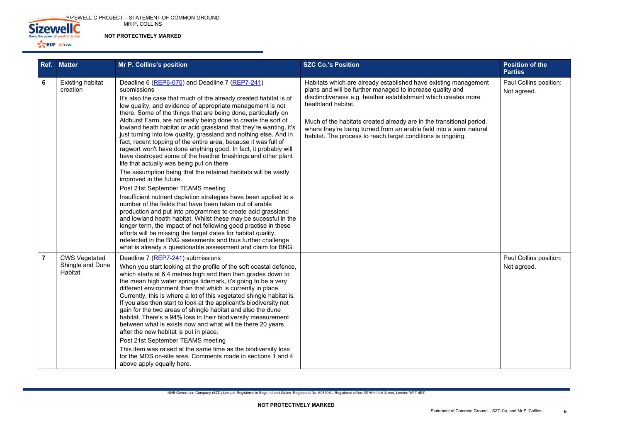SIZEWELL C PROJECT – STATEMENT OF COMMON GROUND MR P. COLLINS



**NOT PROTECTIVELY MARKED**

| Ref.           | <b>Matter</b>                                       | Mr P. Collins's position                                                                                                                                                                                                                                                                                                                                                                                                                                                                                                                                                                                                                                                                                                                                                                                                                                                                                                                                                                                                                                                                                                                                                                                                                                                                                                                                                                                     | <b>SZC Co.'s Position</b>                                                                                                                                                                                                                                                                                                                                                                                                          | <b>Position of the</b><br><b>Parties</b> |
|----------------|-----------------------------------------------------|--------------------------------------------------------------------------------------------------------------------------------------------------------------------------------------------------------------------------------------------------------------------------------------------------------------------------------------------------------------------------------------------------------------------------------------------------------------------------------------------------------------------------------------------------------------------------------------------------------------------------------------------------------------------------------------------------------------------------------------------------------------------------------------------------------------------------------------------------------------------------------------------------------------------------------------------------------------------------------------------------------------------------------------------------------------------------------------------------------------------------------------------------------------------------------------------------------------------------------------------------------------------------------------------------------------------------------------------------------------------------------------------------------------|------------------------------------------------------------------------------------------------------------------------------------------------------------------------------------------------------------------------------------------------------------------------------------------------------------------------------------------------------------------------------------------------------------------------------------|------------------------------------------|
| 6              | <b>Existing habitat</b><br>creation                 | Deadline 6 (REP6-075) and Deadline 7 (REP7-241)<br>submissions<br>It's also the case that much of the already created habitat is of<br>low quality, and evidence of appropriate management is not<br>there. Some of the things that are being done, particularly on<br>Aldhurst Farm, are not really being done to create the sort of<br>lowland heath habitat or acid grassland that they're wanting, it's<br>just turning into low quality, grassland and nothing else. And in<br>fact, recent topping of the entire area, because it was full of<br>ragwort won't have done anything good. In fact, it probably will<br>have destroyed some of the heather brashings and other plant<br>life that actually was being put on there.<br>The assumption being that the retained habitats will be vastly<br>improved in the future.<br>Post 21st September TEAMS meeting<br>Insufficient nutrient depletion strategies have been applied to a<br>number of the fields that have been taken out of arable<br>production and put into programmes to create acid grassland<br>and lowland heath habitat. Whilst these may be sucessful in the<br>longer term, the impact of not following good practise in these<br>efforts will be missing the target dates for habitat quality,<br>refelected in the BNG asessments and thus further challenge<br>what is already a questionable assessment and claim for BNG. | Habitats which are already established have existing management<br>plans and will be further managed to increase quality and<br>disctinctiveness e.g. heather establishment which creates more<br>heathland habitat.<br>Much of the habitats created already are in the transitional period,<br>where they're being turned from an arable field into a semi natural<br>habitat. The process to reach target conditions is ongoing. | Paul Collins position:<br>Not agreed.    |
| $\overline{7}$ | <b>CWS Vegetated</b><br>Shingle and Dune<br>Habitat | Deadline 7 (REP7-241) submissions<br>When you start looking at the profile of the soft coastal defence,<br>which starts at 6.4 metres high and then then grades down to<br>the mean high water springs tidemark, it's going to be a very<br>different environment than that which is currently in place.<br>Currently, this is where a lot of this vegetated shingle habitat is.<br>If you also then start to look at the applicant's biodiversity net<br>gain for the two areas of shingle habitat and also the dune<br>habitat. There's a 94% loss in their biodiversity measurement<br>between what is exists now and what will be there 20 years<br>after the new habitat is put in place.<br>Post 21st September TEAMS meeting<br>This item was raised at the same time as the biodiversity loss<br>for the MDS on-site area. Comments made in sections 1 and 4<br>above apply equally here.                                                                                                                                                                                                                                                                                                                                                                                                                                                                                                            |                                                                                                                                                                                                                                                                                                                                                                                                                                    | Paul Collins position:<br>Not agreed.    |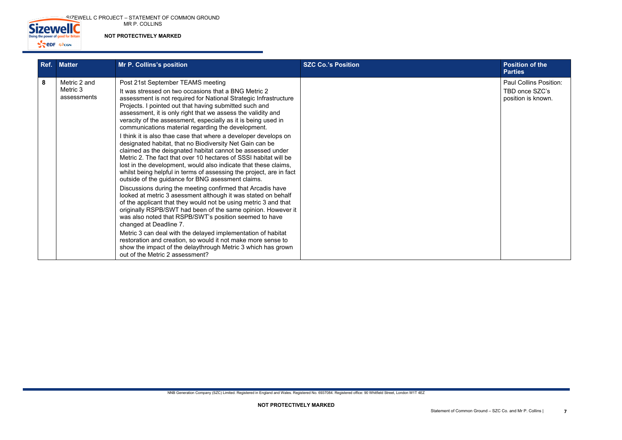SIZEWELL C PROJECT – STATEMENT OF COMMON GROUND MR P. COLLINS



**NOT PROTECTIVELY MARKED**

| Ref. | <b>Matter</b>                           | Mr P. Collins's position                                                                                                                                                                                                                                                                                                                                                                                                                                                                                                                                                                                                                                                                                                                                                                                                                                                       | <b>SZC Co.'s Position</b> | <b>Position of the</b><br><b>Parties</b>                      |
|------|-----------------------------------------|--------------------------------------------------------------------------------------------------------------------------------------------------------------------------------------------------------------------------------------------------------------------------------------------------------------------------------------------------------------------------------------------------------------------------------------------------------------------------------------------------------------------------------------------------------------------------------------------------------------------------------------------------------------------------------------------------------------------------------------------------------------------------------------------------------------------------------------------------------------------------------|---------------------------|---------------------------------------------------------------|
| 8    | Metric 2 and<br>Metric 3<br>assessments | Post 21st September TEAMS meeting<br>It was stressed on two occasions that a BNG Metric 2<br>assessment is not required for National Strategic Infrastructure<br>Projects. I pointed out that having submitted such and<br>assessment, it is only right that we assess the validity and<br>veracity of the assessment, especially as it is being used in<br>communications material regarding the development.<br>I think it is also thae case that where a developer develops on<br>designated habitat, that no Biodiversity Net Gain can be<br>claimed as the deisgnated habitat cannot be assessed under<br>Metric 2. The fact that over 10 hectares of SSSI habitat will be<br>lost in the development, would also indicate that these claims,<br>whilst being helpful in terms of assessing the project, are in fact<br>outside of the guidance for BNG asessment claims. |                           | <b>Paul Collins Pos</b><br>TBD once SZC's<br>position is know |
|      |                                         | Discussions during the meeting confirmed that Arcadis have<br>looked at metric 3 asessment although it was stated on behalf<br>of the applicant that they would not be using metric 3 and that<br>originally RSPB/SWT had been of the same opinion. However it<br>was also noted that RSPB/SWT's position seemed to have<br>changed at Deadline 7.<br>Metric 3 can deal with the delayed implementation of habitat<br>restoration and creation, so would it not make more sense to<br>show the impact of the delaythrough Metric 3 which has grown<br>out of the Metric 2 assessment?                                                                                                                                                                                                                                                                                          |                           |                                                               |

| <b>Position of the</b><br><b>Parties</b>                       |
|----------------------------------------------------------------|
| Paul Collins Position:<br>TBD once SZC's<br>position is known. |
|                                                                |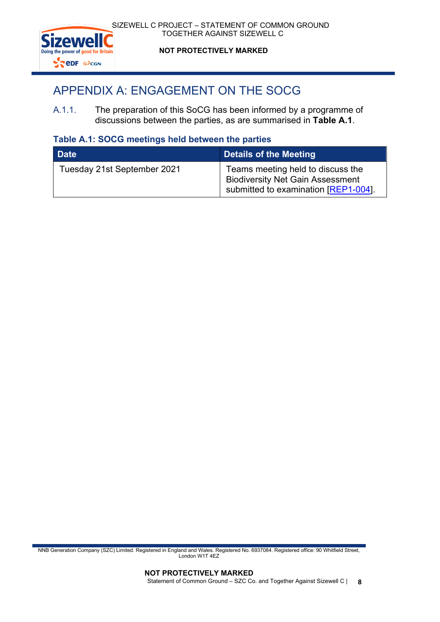

# **NOT PROTECTIVELY MARKED**

# <span id="page-15-0"></span>APPENDIX A: ENGAGEMENT ON THE SOCG

A.1.1. The preparation of this SoCG has been informed by a programme of discussions between the parties, as are summarised in **Table A.1**.

# **Table A.1: SOCG meetings held between the parties**

| <b>Date</b>                 | Details of the Meeting                                                                                               |
|-----------------------------|----------------------------------------------------------------------------------------------------------------------|
| Tuesday 21st September 2021 | Teams meeting held to discuss the<br><b>Biodiversity Net Gain Assessment</b><br>submitted to examination [REP1-004]. |

NNB Generation Company (SZC) Limited. Registered in England and Wales. Registered No. 6937084. Registered office: 90 Whitfield Street, London W1T 4EZ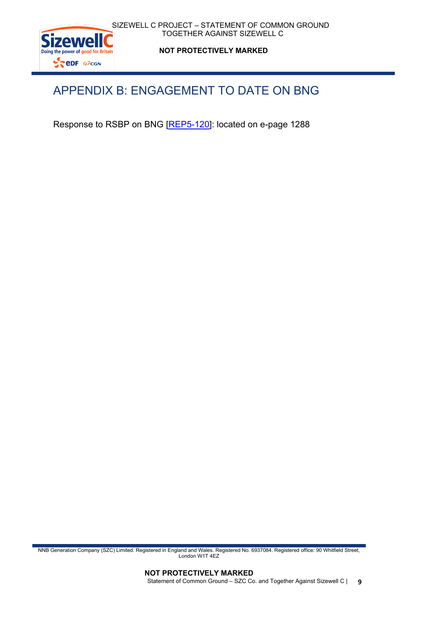

**NOT PROTECTIVELY MARKED**

# <span id="page-16-0"></span>APPENDIX B: ENGAGEMENT TO DATE ON BNG

Response to RSBP on BNG [\[REP5-120\]](https://infrastructure.planninginspectorate.gov.uk/wp-content/ipc/uploads/projects/EN010012/EN010012-006219-submissions%20received%20by%20D3%20and%20D4%201.pdf#page=1288): located on e-page 1288

NNB Generation Company (SZC) Limited. Registered in England and Wales. Registered No. 6937084. Registered office: 90 Whitfield Street, London W1T 4EZ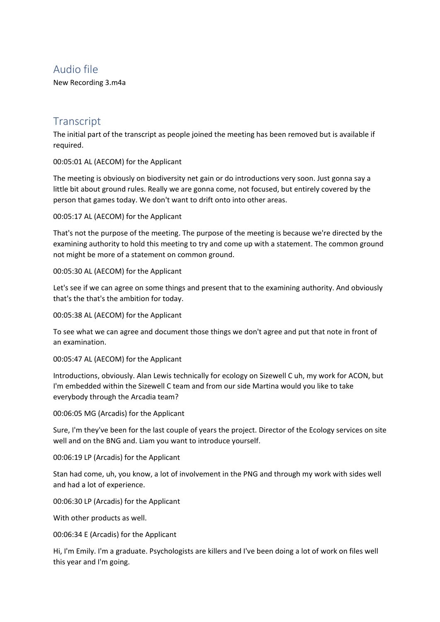# Audio file

New Recording 3.m4a

# **Transcript**

The initial part of the transcript as people joined the meeting has been removed but is available if required.

00:05:01 AL (AECOM) for the Applicant

The meeting is obviously on biodiversity net gain or do introductions very soon. Just gonna say a little bit about ground rules. Really we are gonna come, not focused, but entirely covered by the person that games today. We don't want to drift onto into other areas.

00:05:17 AL (AECOM) for the Applicant

That's not the purpose of the meeting. The purpose of the meeting is because we're directed by the examining authority to hold this meeting to try and come up with a statement. The common ground not might be more of a statement on common ground.

00:05:30 AL (AECOM) for the Applicant

Let's see if we can agree on some things and present that to the examining authority. And obviously that's the that's the ambition for today.

00:05:38 AL (AECOM) for the Applicant

To see what we can agree and document those things we don't agree and put that note in front of an examination.

00:05:47 AL (AECOM) for the Applicant

Introductions, obviously. Alan Lewis technically for ecology on Sizewell C uh, my work for ACON, but I'm embedded within the Sizewell C team and from our side Martina would you like to take everybody through the Arcadia team?

00:06:05 MG (Arcadis) for the Applicant

Sure, I'm they've been for the last couple of years the project. Director of the Ecology services on site well and on the BNG and. Liam you want to introduce yourself.

00:06:19 LP (Arcadis) for the Applicant

Stan had come, uh, you know, a lot of involvement in the PNG and through my work with sides well and had a lot of experience.

00:06:30 LP (Arcadis) for the Applicant

With other products as well.

00:06:34 E (Arcadis) for the Applicant

Hi, I'm Emily. I'm a graduate. Psychologists are killers and I've been doing a lot of work on files well this year and I'm going.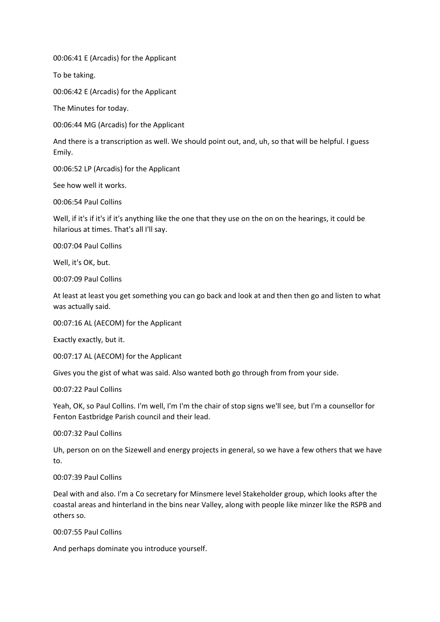00:06:41 E (Arcadis) for the Applicant

To be taking.

00:06:42 E (Arcadis) for the Applicant

The Minutes for today.

00:06:44 MG (Arcadis) for the Applicant

And there is a transcription as well. We should point out, and, uh, so that will be helpful. I guess Emily.

00:06:52 LP (Arcadis) for the Applicant

See how well it works.

00:06:54 Paul Collins

Well, if it's if it's if it's anything like the one that they use on the on on the hearings, it could be hilarious at times. That's all I'll say.

00:07:04 Paul Collins

Well, it's OK, but.

00:07:09 Paul Collins

At least at least you get something you can go back and look at and then then go and listen to what was actually said.

00:07:16 AL (AECOM) for the Applicant

Exactly exactly, but it.

00:07:17 AL (AECOM) for the Applicant

Gives you the gist of what was said. Also wanted both go through from from your side.

00:07:22 Paul Collins

Yeah, OK, so Paul Collins. I'm well, I'm I'm the chair of stop signs we'll see, but I'm a counsellor for Fenton Eastbridge Parish council and their lead.

00:07:32 Paul Collins

Uh, person on on the Sizewell and energy projects in general, so we have a few others that we have to.

# 00:07:39 Paul Collins

Deal with and also. I'm a Co secretary for Minsmere level Stakeholder group, which looks after the coastal areas and hinterland in the bins near Valley, along with people like minzer like the RSPB and others so.

00:07:55 Paul Collins

And perhaps dominate you introduce yourself.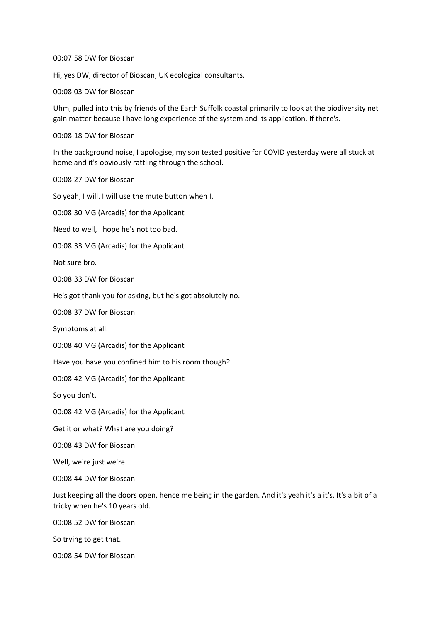#### 00:07:58 DW for Bioscan

Hi, yes DW, director of Bioscan, UK ecological consultants.

00:08:03 DW for Bioscan

Uhm, pulled into this by friends of the Earth Suffolk coastal primarily to look at the biodiversity net gain matter because I have long experience of the system and its application. If there's.

00:08:18 DW for Bioscan

In the background noise, I apologise, my son tested positive for COVID yesterday were all stuck at home and it's obviously rattling through the school.

00:08:27 DW for Bioscan

So yeah, I will. I will use the mute button when I.

00:08:30 MG (Arcadis) for the Applicant

Need to well, I hope he's not too bad.

00:08:33 MG (Arcadis) for the Applicant

Not sure bro.

00:08:33 DW for Bioscan

He's got thank you for asking, but he's got absolutely no.

00:08:37 DW for Bioscan

Symptoms at all.

00:08:40 MG (Arcadis) for the Applicant

Have you have you confined him to his room though?

00:08:42 MG (Arcadis) for the Applicant

So you don't.

00:08:42 MG (Arcadis) for the Applicant

Get it or what? What are you doing?

00:08:43 DW for Bioscan

Well, we're just we're.

00:08:44 DW for Bioscan

Just keeping all the doors open, hence me being in the garden. And it's yeah it's a it's. It's a bit of a tricky when he's 10 years old.

00:08:52 DW for Bioscan

So trying to get that.

00:08:54 DW for Bioscan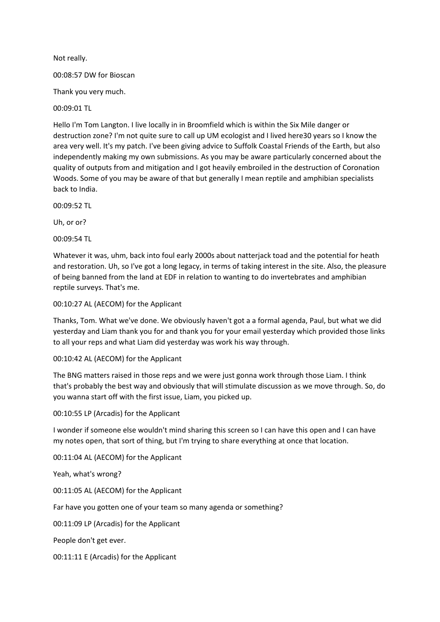Not really.

00:08:57 DW for Bioscan

Thank you very much.

00:09:01 TL

Hello I'm Tom Langton. I live locally in in Broomfield which is within the Six Mile danger or destruction zone? I'm not quite sure to call up UM ecologist and I lived here30 years so I know the area very well. It's my patch. I've been giving advice to Suffolk Coastal Friends of the Earth, but also independently making my own submissions. As you may be aware particularly concerned about the quality of outputs from and mitigation and I got heavily embroiled in the destruction of Coronation Woods. Some of you may be aware of that but generally I mean reptile and amphibian specialists back to India.

00:09:52 TL

Uh, or or?

00:09:54 TL

Whatever it was, uhm, back into foul early 2000s about natterjack toad and the potential for heath and restoration. Uh, so I've got a long legacy, in terms of taking interest in the site. Also, the pleasure of being banned from the land at EDF in relation to wanting to do invertebrates and amphibian reptile surveys. That's me.

00:10:27 AL (AECOM) for the Applicant

Thanks, Tom. What we've done. We obviously haven't got a a formal agenda, Paul, but what we did yesterday and Liam thank you for and thank you for your email yesterday which provided those links to all your reps and what Liam did yesterday was work his way through.

# 00:10:42 AL (AECOM) for the Applicant

The BNG matters raised in those reps and we were just gonna work through those Liam. I think that's probably the best way and obviously that will stimulate discussion as we move through. So, do you wanna start off with the first issue, Liam, you picked up.

00:10:55 LP (Arcadis) for the Applicant

I wonder if someone else wouldn't mind sharing this screen so I can have this open and I can have my notes open, that sort of thing, but I'm trying to share everything at once that location.

00:11:04 AL (AECOM) for the Applicant

Yeah, what's wrong?

00:11:05 AL (AECOM) for the Applicant

Far have you gotten one of your team so many agenda or something?

00:11:09 LP (Arcadis) for the Applicant

People don't get ever.

00:11:11 E (Arcadis) for the Applicant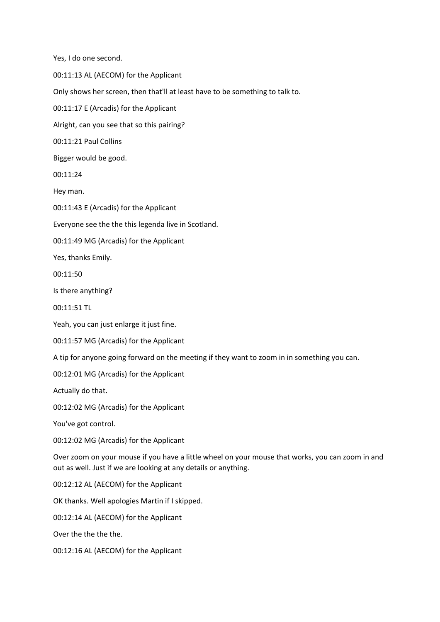Yes, I do one second. 00:11:13 AL (AECOM) for the Applicant Only shows her screen, then that'll at least have to be something to talk to. 00:11:17 E (Arcadis) for the Applicant Alright, can you see that so this pairing? 00:11:21 Paul Collins Bigger would be good. 00:11:24 Hey man. 00:11:43 E (Arcadis) for the Applicant Everyone see the the this legenda live in Scotland. 00:11:49 MG (Arcadis) for the Applicant Yes, thanks Emily. 00:11:50 Is there anything? 00:11:51 TL Yeah, you can just enlarge it just fine. 00:11:57 MG (Arcadis) for the Applicant A tip for anyone going forward on the meeting if they want to zoom in in something you can. 00:12:01 MG (Arcadis) for the Applicant Actually do that. 00:12:02 MG (Arcadis) for the Applicant You've got control. 00:12:02 MG (Arcadis) for the Applicant Over zoom on your mouse if you have a little wheel on your mouse that works, you can zoom in and out as well. Just if we are looking at any details or anything. 00:12:12 AL (AECOM) for the Applicant OK thanks. Well apologies Martin if I skipped. 00:12:14 AL (AECOM) for the Applicant Over the the the the. 00:12:16 AL (AECOM) for the Applicant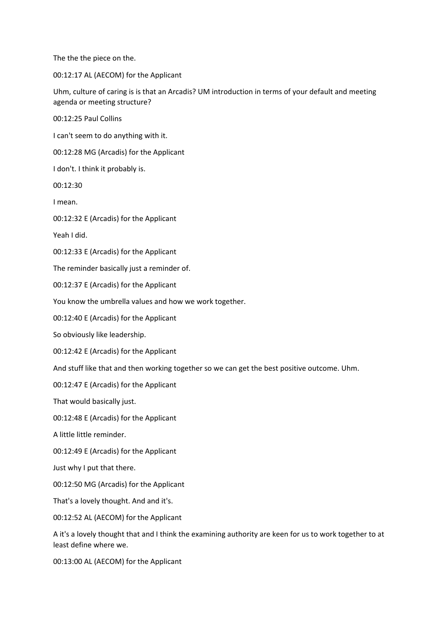The the the piece on the.

00:12:17 AL (AECOM) for the Applicant

Uhm, culture of caring is is that an Arcadis? UM introduction in terms of your default and meeting agenda or meeting structure?

00:12:25 Paul Collins

I can't seem to do anything with it.

00:12:28 MG (Arcadis) for the Applicant

I don't. I think it probably is.

00:12:30

I mean.

00:12:32 E (Arcadis) for the Applicant

Yeah I did.

00:12:33 E (Arcadis) for the Applicant

The reminder basically just a reminder of.

00:12:37 E (Arcadis) for the Applicant

You know the umbrella values and how we work together.

00:12:40 E (Arcadis) for the Applicant

So obviously like leadership.

00:12:42 E (Arcadis) for the Applicant

And stuff like that and then working together so we can get the best positive outcome. Uhm.

00:12:47 E (Arcadis) for the Applicant

That would basically just.

00:12:48 E (Arcadis) for the Applicant

A little little reminder.

00:12:49 E (Arcadis) for the Applicant

Just why I put that there.

00:12:50 MG (Arcadis) for the Applicant

That's a lovely thought. And and it's.

00:12:52 AL (AECOM) for the Applicant

A it's a lovely thought that and I think the examining authority are keen for us to work together to at least define where we.

00:13:00 AL (AECOM) for the Applicant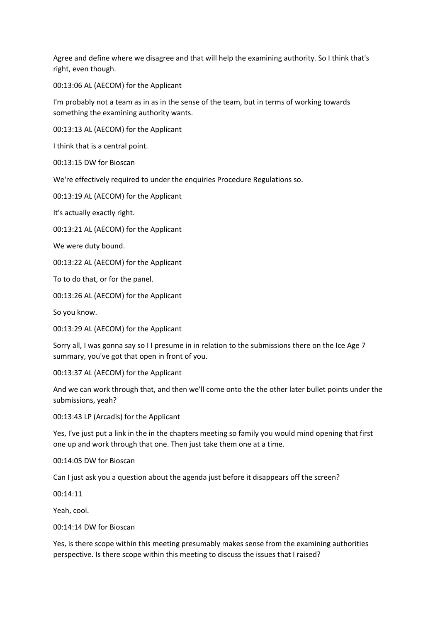Agree and define where we disagree and that will help the examining authority. So I think that's right, even though.

00:13:06 AL (AECOM) for the Applicant

I'm probably not a team as in as in the sense of the team, but in terms of working towards something the examining authority wants.

00:13:13 AL (AECOM) for the Applicant

I think that is a central point.

00:13:15 DW for Bioscan

We're effectively required to under the enquiries Procedure Regulations so.

00:13:19 AL (AECOM) for the Applicant

It's actually exactly right.

00:13:21 AL (AECOM) for the Applicant

We were duty bound.

00:13:22 AL (AECOM) for the Applicant

To to do that, or for the panel.

00:13:26 AL (AECOM) for the Applicant

So you know.

00:13:29 AL (AECOM) for the Applicant

Sorry all, I was gonna say so I I presume in in relation to the submissions there on the Ice Age 7 summary, you've got that open in front of you.

00:13:37 AL (AECOM) for the Applicant

And we can work through that, and then we'll come onto the the other later bullet points under the submissions, yeah?

00:13:43 LP (Arcadis) for the Applicant

Yes, I've just put a link in the in the chapters meeting so family you would mind opening that first one up and work through that one. Then just take them one at a time.

00:14:05 DW for Bioscan

Can I just ask you a question about the agenda just before it disappears off the screen?

00:14:11

Yeah, cool.

00:14:14 DW for Bioscan

Yes, is there scope within this meeting presumably makes sense from the examining authorities perspective. Is there scope within this meeting to discuss the issues that I raised?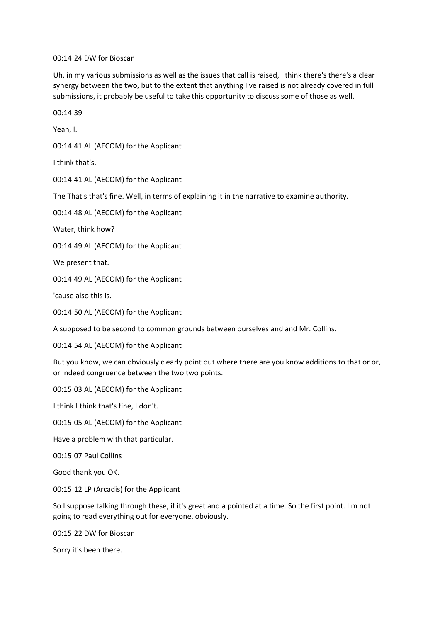#### 00:14:24 DW for Bioscan

Uh, in my various submissions as well as the issues that call is raised, I think there's there's a clear synergy between the two, but to the extent that anything I've raised is not already covered in full submissions, it probably be useful to take this opportunity to discuss some of those as well.

00:14:39

Yeah, I.

00:14:41 AL (AECOM) for the Applicant

I think that's.

00:14:41 AL (AECOM) for the Applicant

The That's that's fine. Well, in terms of explaining it in the narrative to examine authority.

00:14:48 AL (AECOM) for the Applicant

Water, think how?

00:14:49 AL (AECOM) for the Applicant

We present that.

00:14:49 AL (AECOM) for the Applicant

'cause also this is.

00:14:50 AL (AECOM) for the Applicant

A supposed to be second to common grounds between ourselves and and Mr. Collins.

00:14:54 AL (AECOM) for the Applicant

But you know, we can obviously clearly point out where there are you know additions to that or or, or indeed congruence between the two two points.

00:15:03 AL (AECOM) for the Applicant

I think I think that's fine, I don't.

00:15:05 AL (AECOM) for the Applicant

Have a problem with that particular.

00:15:07 Paul Collins

Good thank you OK.

00:15:12 LP (Arcadis) for the Applicant

So I suppose talking through these, if it's great and a pointed at a time. So the first point. I'm not going to read everything out for everyone, obviously.

00:15:22 DW for Bioscan

Sorry it's been there.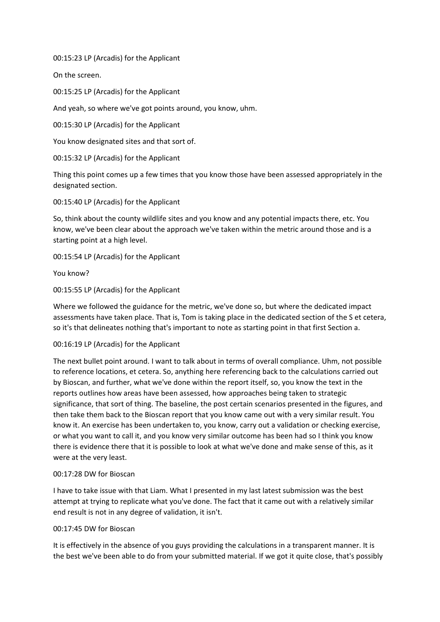00:15:23 LP (Arcadis) for the Applicant

On the screen.

00:15:25 LP (Arcadis) for the Applicant

And yeah, so where we've got points around, you know, uhm.

00:15:30 LP (Arcadis) for the Applicant

You know designated sites and that sort of.

00:15:32 LP (Arcadis) for the Applicant

Thing this point comes up a few times that you know those have been assessed appropriately in the designated section.

00:15:40 LP (Arcadis) for the Applicant

So, think about the county wildlife sites and you know and any potential impacts there, etc. You know, we've been clear about the approach we've taken within the metric around those and is a starting point at a high level.

00:15:54 LP (Arcadis) for the Applicant

You know?

00:15:55 LP (Arcadis) for the Applicant

Where we followed the guidance for the metric, we've done so, but where the dedicated impact assessments have taken place. That is, Tom is taking place in the dedicated section of the S et cetera, so it's that delineates nothing that's important to note as starting point in that first Section a.

#### 00:16:19 LP (Arcadis) for the Applicant

The next bullet point around. I want to talk about in terms of overall compliance. Uhm, not possible to reference locations, et cetera. So, anything here referencing back to the calculations carried out by Bioscan, and further, what we've done within the report itself, so, you know the text in the reports outlines how areas have been assessed, how approaches being taken to strategic significance, that sort of thing. The baseline, the post certain scenarios presented in the figures, and then take them back to the Bioscan report that you know came out with a very similar result. You know it. An exercise has been undertaken to, you know, carry out a validation or checking exercise, or what you want to call it, and you know very similar outcome has been had so I think you know there is evidence there that it is possible to look at what we've done and make sense of this, as it were at the very least.

#### 00:17:28 DW for Bioscan

I have to take issue with that Liam. What I presented in my last latest submission was the best attempt at trying to replicate what you've done. The fact that it came out with a relatively similar end result is not in any degree of validation, it isn't.

#### 00:17:45 DW for Bioscan

It is effectively in the absence of you guys providing the calculations in a transparent manner. It is the best we've been able to do from your submitted material. If we got it quite close, that's possibly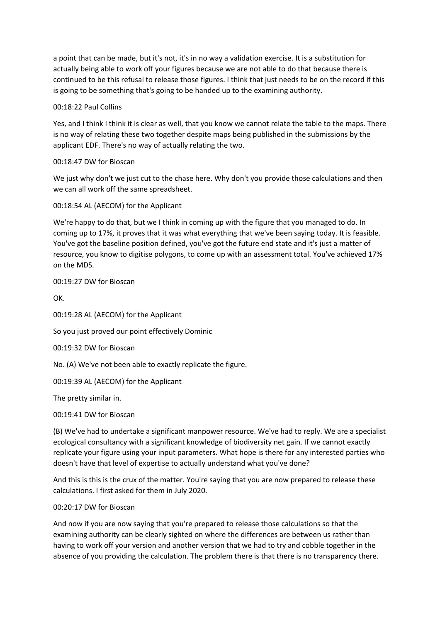a point that can be made, but it's not, it's in no way a validation exercise. It is a substitution for actually being able to work off your figures because we are not able to do that because there is continued to be this refusal to release those figures. I think that just needs to be on the record if this is going to be something that's going to be handed up to the examining authority.

# 00:18:22 Paul Collins

Yes, and I think I think it is clear as well, that you know we cannot relate the table to the maps. There is no way of relating these two together despite maps being published in the submissions by the applicant EDF. There's no way of actually relating the two.

# 00:18:47 DW for Bioscan

We just why don't we just cut to the chase here. Why don't you provide those calculations and then we can all work off the same spreadsheet.

00:18:54 AL (AECOM) for the Applicant

We're happy to do that, but we I think in coming up with the figure that you managed to do. In coming up to 17%, it proves that it was what everything that we've been saying today. It is feasible. You've got the baseline position defined, you've got the future end state and it's just a matter of resource, you know to digitise polygons, to come up with an assessment total. You've achieved 17% on the MDS.

00:19:27 DW for Bioscan

OK.

00:19:28 AL (AECOM) for the Applicant

So you just proved our point effectively Dominic

00:19:32 DW for Bioscan

No. (A) We've not been able to exactly replicate the figure.

00:19:39 AL (AECOM) for the Applicant

The pretty similar in.

00:19:41 DW for Bioscan

(B) We've had to undertake a significant manpower resource. We've had to reply. We are a specialist ecological consultancy with a significant knowledge of biodiversity net gain. If we cannot exactly replicate your figure using your input parameters. What hope is there for any interested parties who doesn't have that level of expertise to actually understand what you've done?

And this is this is the crux of the matter. You're saying that you are now prepared to release these calculations. I first asked for them in July 2020.

# 00:20:17 DW for Bioscan

And now if you are now saying that you're prepared to release those calculations so that the examining authority can be clearly sighted on where the differences are between us rather than having to work off your version and another version that we had to try and cobble together in the absence of you providing the calculation. The problem there is that there is no transparency there.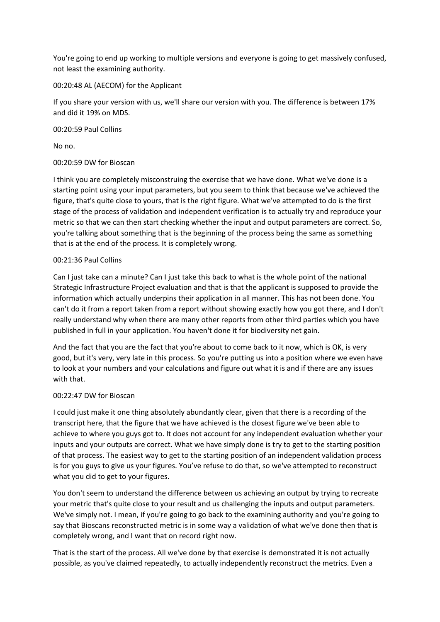You're going to end up working to multiple versions and everyone is going to get massively confused, not least the examining authority.

# 00:20:48 AL (AECOM) for the Applicant

If you share your version with us, we'll share our version with you. The difference is between 17% and did it 19% on MDS.

# 00:20:59 Paul Collins

No no.

# 00:20:59 DW for Bioscan

I think you are completely misconstruing the exercise that we have done. What we've done is a starting point using your input parameters, but you seem to think that because we've achieved the figure, that's quite close to yours, that is the right figure. What we've attempted to do is the first stage of the process of validation and independent verification is to actually try and reproduce your metric so that we can then start checking whether the input and output parameters are correct. So, you're talking about something that is the beginning of the process being the same as something that is at the end of the process. It is completely wrong.

# 00:21:36 Paul Collins

Can I just take can a minute? Can I just take this back to what is the whole point of the national Strategic Infrastructure Project evaluation and that is that the applicant is supposed to provide the information which actually underpins their application in all manner. This has not been done. You can't do it from a report taken from a report without showing exactly how you got there, and I don't really understand why when there are many other reports from other third parties which you have published in full in your application. You haven't done it for biodiversity net gain.

And the fact that you are the fact that you're about to come back to it now, which is OK, is very good, but it's very, very late in this process. So you're putting us into a position where we even have to look at your numbers and your calculations and figure out what it is and if there are any issues with that.

# 00:22:47 DW for Bioscan

I could just make it one thing absolutely abundantly clear, given that there is a recording of the transcript here, that the figure that we have achieved is the closest figure we've been able to achieve to where you guys got to. It does not account for any independent evaluation whether your inputs and your outputs are correct. What we have simply done is try to get to the starting position of that process. The easiest way to get to the starting position of an independent validation process is for you guys to give us your figures. You've refuse to do that, so we've attempted to reconstruct what you did to get to your figures.

You don't seem to understand the difference between us achieving an output by trying to recreate your metric that's quite close to your result and us challenging the inputs and output parameters. We've simply not. I mean, if you're going to go back to the examining authority and you're going to say that Bioscans reconstructed metric is in some way a validation of what we've done then that is completely wrong, and I want that on record right now.

That is the start of the process. All we've done by that exercise is demonstrated it is not actually possible, as you've claimed repeatedly, to actually independently reconstruct the metrics. Even a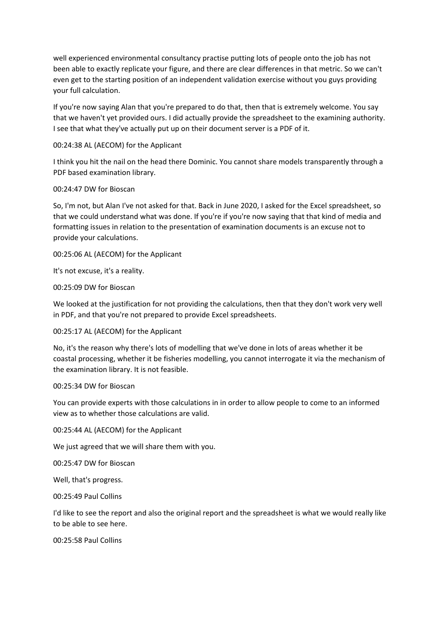well experienced environmental consultancy practise putting lots of people onto the job has not been able to exactly replicate your figure, and there are clear differences in that metric. So we can't even get to the starting position of an independent validation exercise without you guys providing your full calculation.

If you're now saying Alan that you're prepared to do that, then that is extremely welcome. You say that we haven't yet provided ours. I did actually provide the spreadsheet to the examining authority. I see that what they've actually put up on their document server is a PDF of it.

# 00:24:38 AL (AECOM) for the Applicant

I think you hit the nail on the head there Dominic. You cannot share models transparently through a PDF based examination library.

#### 00:24:47 DW for Bioscan

So, I'm not, but Alan I've not asked for that. Back in June 2020, I asked for the Excel spreadsheet, so that we could understand what was done. If you're if you're now saying that that kind of media and formatting issues in relation to the presentation of examination documents is an excuse not to provide your calculations.

00:25:06 AL (AECOM) for the Applicant

It's not excuse, it's a reality.

00:25:09 DW for Bioscan

We looked at the justification for not providing the calculations, then that they don't work very well in PDF, and that you're not prepared to provide Excel spreadsheets.

00:25:17 AL (AECOM) for the Applicant

No, it's the reason why there's lots of modelling that we've done in lots of areas whether it be coastal processing, whether it be fisheries modelling, you cannot interrogate it via the mechanism of the examination library. It is not feasible.

#### 00:25:34 DW for Bioscan

You can provide experts with those calculations in in order to allow people to come to an informed view as to whether those calculations are valid.

00:25:44 AL (AECOM) for the Applicant

We just agreed that we will share them with you.

00:25:47 DW for Bioscan

Well, that's progress.

00:25:49 Paul Collins

I'd like to see the report and also the original report and the spreadsheet is what we would really like to be able to see here.

00:25:58 Paul Collins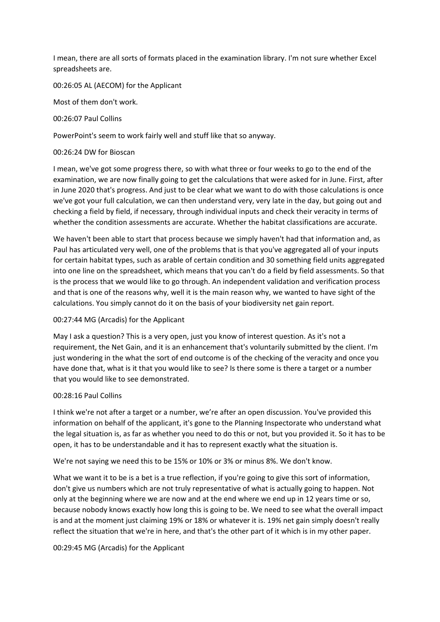I mean, there are all sorts of formats placed in the examination library. I'm not sure whether Excel spreadsheets are.

# 00:26:05 AL (AECOM) for the Applicant

Most of them don't work.

#### 00:26:07 Paul Collins

PowerPoint's seem to work fairly well and stuff like that so anyway.

#### 00:26:24 DW for Bioscan

I mean, we've got some progress there, so with what three or four weeks to go to the end of the examination, we are now finally going to get the calculations that were asked for in June. First, after in June 2020 that's progress. And just to be clear what we want to do with those calculations is once we've got your full calculation, we can then understand very, very late in the day, but going out and checking a field by field, if necessary, through individual inputs and check their veracity in terms of whether the condition assessments are accurate. Whether the habitat classifications are accurate.

We haven't been able to start that process because we simply haven't had that information and, as Paul has articulated very well, one of the problems that is that you've aggregated all of your inputs for certain habitat types, such as arable of certain condition and 30 something field units aggregated into one line on the spreadsheet, which means that you can't do a field by field assessments. So that is the process that we would like to go through. An independent validation and verification process and that is one of the reasons why, well it is the main reason why, we wanted to have sight of the calculations. You simply cannot do it on the basis of your biodiversity net gain report.

# 00:27:44 MG (Arcadis) for the Applicant

May I ask a question? This is a very open, just you know of interest question. As it's not a requirement, the Net Gain, and it is an enhancement that's voluntarily submitted by the client. I'm just wondering in the what the sort of end outcome is of the checking of the veracity and once you have done that, what is it that you would like to see? Is there some is there a target or a number that you would like to see demonstrated.

# 00:28:16 Paul Collins

I think we're not after a target or a number, we're after an open discussion. You've provided this information on behalf of the applicant, it's gone to the Planning Inspectorate who understand what the legal situation is, as far as whether you need to do this or not, but you provided it. So it has to be open, it has to be understandable and it has to represent exactly what the situation is.

We're not saying we need this to be 15% or 10% or 3% or minus 8%. We don't know.

What we want it to be is a bet is a true reflection, if you're going to give this sort of information, don't give us numbers which are not truly representative of what is actually going to happen. Not only at the beginning where we are now and at the end where we end up in 12 years time or so, because nobody knows exactly how long this is going to be. We need to see what the overall impact is and at the moment just claiming 19% or 18% or whatever it is. 19% net gain simply doesn't really reflect the situation that we're in here, and that's the other part of it which is in my other paper.

# 00:29:45 MG (Arcadis) for the Applicant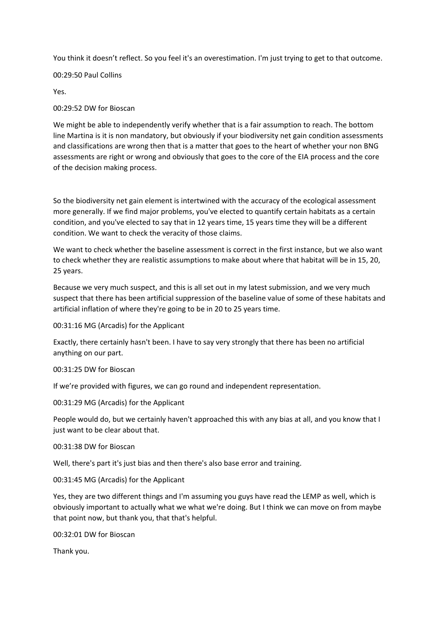You think it doesn't reflect. So you feel it's an overestimation. I'm just trying to get to that outcome.

# 00:29:50 Paul Collins

Yes.

# 00:29:52 DW for Bioscan

We might be able to independently verify whether that is a fair assumption to reach. The bottom line Martina is it is non mandatory, but obviously if your biodiversity net gain condition assessments and classifications are wrong then that is a matter that goes to the heart of whether your non BNG assessments are right or wrong and obviously that goes to the core of the EIA process and the core of the decision making process.

So the biodiversity net gain element is intertwined with the accuracy of the ecological assessment more generally. If we find major problems, you've elected to quantify certain habitats as a certain condition, and you've elected to say that in 12 years time, 15 years time they will be a different condition. We want to check the veracity of those claims.

We want to check whether the baseline assessment is correct in the first instance, but we also want to check whether they are realistic assumptions to make about where that habitat will be in 15, 20, 25 years.

Because we very much suspect, and this is all set out in my latest submission, and we very much suspect that there has been artificial suppression of the baseline value of some of these habitats and artificial inflation of where they're going to be in 20 to 25 years time.

00:31:16 MG (Arcadis) for the Applicant

Exactly, there certainly hasn't been. I have to say very strongly that there has been no artificial anything on our part.

00:31:25 DW for Bioscan

If we're provided with figures, we can go round and independent representation.

00:31:29 MG (Arcadis) for the Applicant

People would do, but we certainly haven't approached this with any bias at all, and you know that I just want to be clear about that.

# 00:31:38 DW for Bioscan

Well, there's part it's just bias and then there's also base error and training.

00:31:45 MG (Arcadis) for the Applicant

Yes, they are two different things and I'm assuming you guys have read the LEMP as well, which is obviously important to actually what we what we're doing. But I think we can move on from maybe that point now, but thank you, that that's helpful.

00:32:01 DW for Bioscan

Thank you.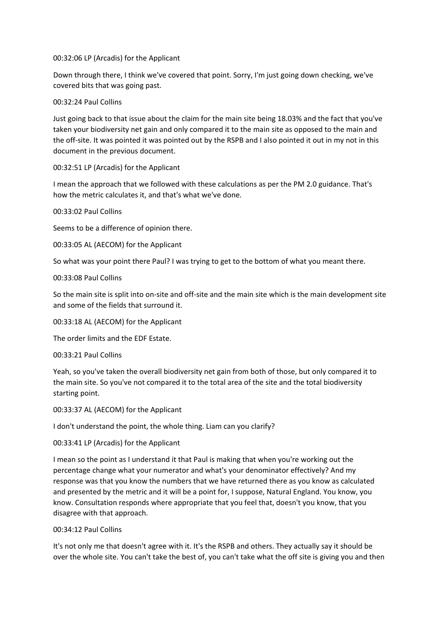00:32:06 LP (Arcadis) for the Applicant

Down through there, I think we've covered that point. Sorry, I'm just going down checking, we've covered bits that was going past.

# 00:32:24 Paul Collins

Just going back to that issue about the claim for the main site being 18.03% and the fact that you've taken your biodiversity net gain and only compared it to the main site as opposed to the main and the off-site. It was pointed it was pointed out by the RSPB and I also pointed it out in my not in this document in the previous document.

#### 00:32:51 LP (Arcadis) for the Applicant

I mean the approach that we followed with these calculations as per the PM 2.0 guidance. That's how the metric calculates it, and that's what we've done.

00:33:02 Paul Collins

Seems to be a difference of opinion there.

00:33:05 AL (AECOM) for the Applicant

So what was your point there Paul? I was trying to get to the bottom of what you meant there.

#### 00:33:08 Paul Collins

So the main site is split into on-site and off-site and the main site which is the main development site and some of the fields that surround it.

#### 00:33:18 AL (AECOM) for the Applicant

The order limits and the EDF Estate.

#### 00:33:21 Paul Collins

Yeah, so you've taken the overall biodiversity net gain from both of those, but only compared it to the main site. So you've not compared it to the total area of the site and the total biodiversity starting point.

00:33:37 AL (AECOM) for the Applicant

I don't understand the point, the whole thing. Liam can you clarify?

# 00:33:41 LP (Arcadis) for the Applicant

I mean so the point as I understand it that Paul is making that when you're working out the percentage change what your numerator and what's your denominator effectively? And my response was that you know the numbers that we have returned there as you know as calculated and presented by the metric and it will be a point for, I suppose, Natural England. You know, you know. Consultation responds where appropriate that you feel that, doesn't you know, that you disagree with that approach.

# 00:34:12 Paul Collins

It's not only me that doesn't agree with it. It's the RSPB and others. They actually say it should be over the whole site. You can't take the best of, you can't take what the off site is giving you and then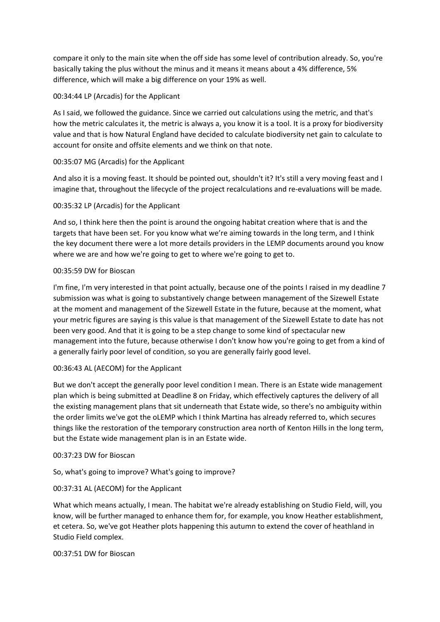compare it only to the main site when the off side has some level of contribution already. So, you're basically taking the plus without the minus and it means it means about a 4% difference, 5% difference, which will make a big difference on your 19% as well.

# 00:34:44 LP (Arcadis) for the Applicant

As I said, we followed the guidance. Since we carried out calculations using the metric, and that's how the metric calculates it, the metric is always a, you know it is a tool. It is a proxy for biodiversity value and that is how Natural England have decided to calculate biodiversity net gain to calculate to account for onsite and offsite elements and we think on that note.

# 00:35:07 MG (Arcadis) for the Applicant

And also it is a moving feast. It should be pointed out, shouldn't it? It's still a very moving feast and I imagine that, throughout the lifecycle of the project recalculations and re-evaluations will be made.

# 00:35:32 LP (Arcadis) for the Applicant

And so, I think here then the point is around the ongoing habitat creation where that is and the targets that have been set. For you know what we're aiming towards in the long term, and I think the key document there were a lot more details providers in the LEMP documents around you know where we are and how we're going to get to where we're going to get to.

# 00:35:59 DW for Bioscan

I'm fine, I'm very interested in that point actually, because one of the points I raised in my deadline 7 submission was what is going to substantively change between management of the Sizewell Estate at the moment and management of the Sizewell Estate in the future, because at the moment, what your metric figures are saying is this value is that management of the Sizewell Estate to date has not been very good. And that it is going to be a step change to some kind of spectacular new management into the future, because otherwise I don't know how you're going to get from a kind of a generally fairly poor level of condition, so you are generally fairly good level.

# 00:36:43 AL (AECOM) for the Applicant

But we don't accept the generally poor level condition I mean. There is an Estate wide management plan which is being submitted at Deadline 8 on Friday, which effectively captures the delivery of all the existing management plans that sit underneath that Estate wide, so there's no ambiguity within the order limits we've got the oLEMP which I think Martina has already referred to, which secures things like the restoration of the temporary construction area north of Kenton Hills in the long term, but the Estate wide management plan is in an Estate wide.

# 00:37:23 DW for Bioscan

So, what's going to improve? What's going to improve?

# 00:37:31 AL (AECOM) for the Applicant

What which means actually, I mean. The habitat we're already establishing on Studio Field, will, you know, will be further managed to enhance them for, for example, you know Heather establishment, et cetera. So, we've got Heather plots happening this autumn to extend the cover of heathland in Studio Field complex.

# 00:37:51 DW for Bioscan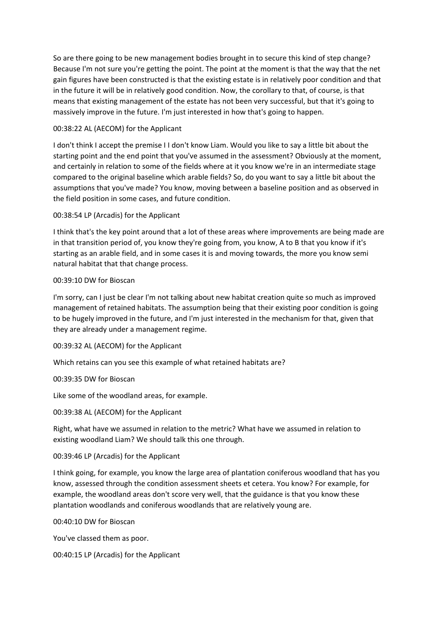So are there going to be new management bodies brought in to secure this kind of step change? Because I'm not sure you're getting the point. The point at the moment is that the way that the net gain figures have been constructed is that the existing estate is in relatively poor condition and that in the future it will be in relatively good condition. Now, the corollary to that, of course, is that means that existing management of the estate has not been very successful, but that it's going to massively improve in the future. I'm just interested in how that's going to happen.

# 00:38:22 AL (AECOM) for the Applicant

I don't think I accept the premise I I don't know Liam. Would you like to say a little bit about the starting point and the end point that you've assumed in the assessment? Obviously at the moment, and certainly in relation to some of the fields where at it you know we're in an intermediate stage compared to the original baseline which arable fields? So, do you want to say a little bit about the assumptions that you've made? You know, moving between a baseline position and as observed in the field position in some cases, and future condition.

# 00:38:54 LP (Arcadis) for the Applicant

I think that's the key point around that a lot of these areas where improvements are being made are in that transition period of, you know they're going from, you know, A to B that you know if it's starting as an arable field, and in some cases it is and moving towards, the more you know semi natural habitat that that change process.

# 00:39:10 DW for Bioscan

I'm sorry, can I just be clear I'm not talking about new habitat creation quite so much as improved management of retained habitats. The assumption being that their existing poor condition is going to be hugely improved in the future, and I'm just interested in the mechanism for that, given that they are already under a management regime.

# 00:39:32 AL (AECOM) for the Applicant

Which retains can you see this example of what retained habitats are?

# 00:39:35 DW for Bioscan

Like some of the woodland areas, for example.

# 00:39:38 AL (AECOM) for the Applicant

Right, what have we assumed in relation to the metric? What have we assumed in relation to existing woodland Liam? We should talk this one through.

# 00:39:46 LP (Arcadis) for the Applicant

I think going, for example, you know the large area of plantation coniferous woodland that has you know, assessed through the condition assessment sheets et cetera. You know? For example, for example, the woodland areas don't score very well, that the guidance is that you know these plantation woodlands and coniferous woodlands that are relatively young are.

# 00:40:10 DW for Bioscan

You've classed them as poor.

00:40:15 LP (Arcadis) for the Applicant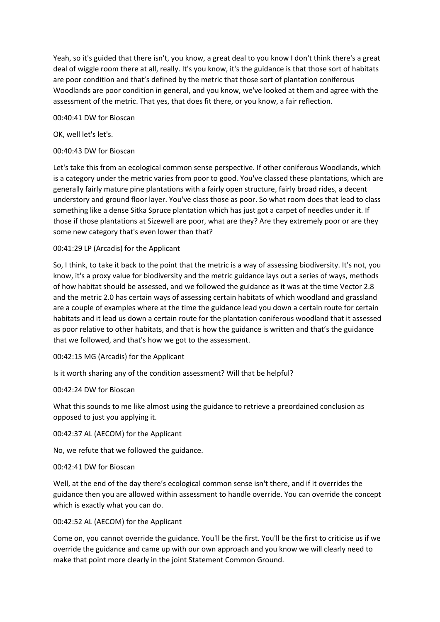Yeah, so it's guided that there isn't, you know, a great deal to you know I don't think there's a great deal of wiggle room there at all, really. It's you know, it's the guidance is that those sort of habitats are poor condition and that's defined by the metric that those sort of plantation coniferous Woodlands are poor condition in general, and you know, we've looked at them and agree with the assessment of the metric. That yes, that does fit there, or you know, a fair reflection.

00:40:41 DW for Bioscan

OK, well let's let's.

# 00:40:43 DW for Bioscan

Let's take this from an ecological common sense perspective. If other coniferous Woodlands, which is a category under the metric varies from poor to good. You've classed these plantations, which are generally fairly mature pine plantations with a fairly open structure, fairly broad rides, a decent understory and ground floor layer. You've class those as poor. So what room does that lead to class something like a dense Sitka Spruce plantation which has just got a carpet of needles under it. If those if those plantations at Sizewell are poor, what are they? Are they extremely poor or are they some new category that's even lower than that?

# 00:41:29 LP (Arcadis) for the Applicant

So, I think, to take it back to the point that the metric is a way of assessing biodiversity. It's not, you know, it's a proxy value for biodiversity and the metric guidance lays out a series of ways, methods of how habitat should be assessed, and we followed the guidance as it was at the time Vector 2.8 and the metric 2.0 has certain ways of assessing certain habitats of which woodland and grassland are a couple of examples where at the time the guidance lead you down a certain route for certain habitats and it lead us down a certain route for the plantation coniferous woodland that it assessed as poor relative to other habitats, and that is how the guidance is written and that's the guidance that we followed, and that's how we got to the assessment.

# 00:42:15 MG (Arcadis) for the Applicant

Is it worth sharing any of the condition assessment? Will that be helpful?

# 00:42:24 DW for Bioscan

What this sounds to me like almost using the guidance to retrieve a preordained conclusion as opposed to just you applying it.

00:42:37 AL (AECOM) for the Applicant

No, we refute that we followed the guidance.

# 00:42:41 DW for Bioscan

Well, at the end of the day there's ecological common sense isn't there, and if it overrides the guidance then you are allowed within assessment to handle override. You can override the concept which is exactly what you can do.

# 00:42:52 AL (AECOM) for the Applicant

Come on, you cannot override the guidance. You'll be the first. You'll be the first to criticise us if we override the guidance and came up with our own approach and you know we will clearly need to make that point more clearly in the joint Statement Common Ground.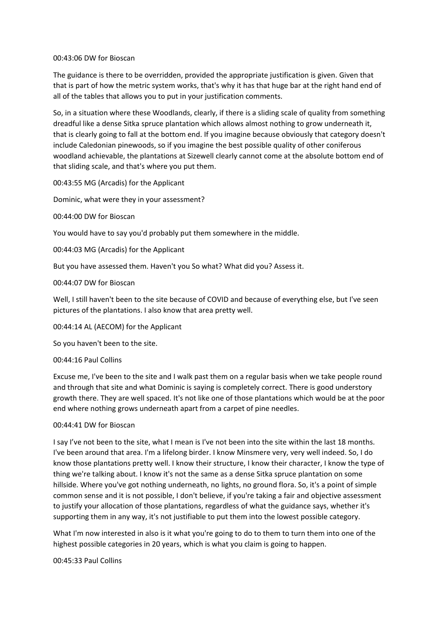#### 00:43:06 DW for Bioscan

The guidance is there to be overridden, provided the appropriate justification is given. Given that that is part of how the metric system works, that's why it has that huge bar at the right hand end of all of the tables that allows you to put in your justification comments.

So, in a situation where these Woodlands, clearly, if there is a sliding scale of quality from something dreadful like a dense Sitka spruce plantation which allows almost nothing to grow underneath it, that is clearly going to fall at the bottom end. If you imagine because obviously that category doesn't include Caledonian pinewoods, so if you imagine the best possible quality of other coniferous woodland achievable, the plantations at Sizewell clearly cannot come at the absolute bottom end of that sliding scale, and that's where you put them.

00:43:55 MG (Arcadis) for the Applicant

Dominic, what were they in your assessment?

00:44:00 DW for Bioscan

You would have to say you'd probably put them somewhere in the middle.

00:44:03 MG (Arcadis) for the Applicant

But you have assessed them. Haven't you So what? What did you? Assess it.

#### 00:44:07 DW for Bioscan

Well, I still haven't been to the site because of COVID and because of everything else, but I've seen pictures of the plantations. I also know that area pretty well.

00:44:14 AL (AECOM) for the Applicant

So you haven't been to the site.

#### 00:44:16 Paul Collins

Excuse me, I've been to the site and I walk past them on a regular basis when we take people round and through that site and what Dominic is saying is completely correct. There is good understory growth there. They are well spaced. It's not like one of those plantations which would be at the poor end where nothing grows underneath apart from a carpet of pine needles.

# 00:44:41 DW for Bioscan

I say I've not been to the site, what I mean is I've not been into the site within the last 18 months. I've been around that area. I'm a lifelong birder. I know Minsmere very, very well indeed. So, I do know those plantations pretty well. I know their structure, I know their character, I know the type of thing we're talking about. I know it's not the same as a dense Sitka spruce plantation on some hillside. Where you've got nothing underneath, no lights, no ground flora. So, it's a point of simple common sense and it is not possible, I don't believe, if you're taking a fair and objective assessment to justify your allocation of those plantations, regardless of what the guidance says, whether it's supporting them in any way, it's not justifiable to put them into the lowest possible category.

What I'm now interested in also is it what you're going to do to them to turn them into one of the highest possible categories in 20 years, which is what you claim is going to happen.

#### 00:45:33 Paul Collins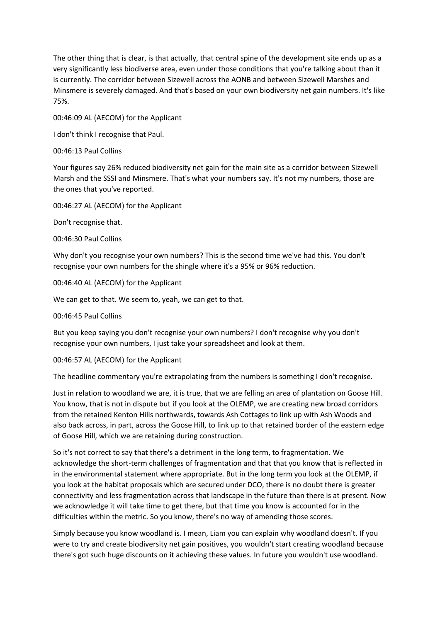The other thing that is clear, is that actually, that central spine of the development site ends up as a very significantly less biodiverse area, even under those conditions that you're talking about than it is currently. The corridor between Sizewell across the AONB and between Sizewell Marshes and Minsmere is severely damaged. And that's based on your own biodiversity net gain numbers. It's like 75%.

00:46:09 AL (AECOM) for the Applicant

I don't think I recognise that Paul.

00:46:13 Paul Collins

Your figures say 26% reduced biodiversity net gain for the main site as a corridor between Sizewell Marsh and the SSSI and Minsmere. That's what your numbers say. It's not my numbers, those are the ones that you've reported.

00:46:27 AL (AECOM) for the Applicant

Don't recognise that.

00:46:30 Paul Collins

Why don't you recognise your own numbers? This is the second time we've had this. You don't recognise your own numbers for the shingle where it's a 95% or 96% reduction.

00:46:40 AL (AECOM) for the Applicant

We can get to that. We seem to, yeah, we can get to that.

00:46:45 Paul Collins

But you keep saying you don't recognise your own numbers? I don't recognise why you don't recognise your own numbers, I just take your spreadsheet and look at them.

00:46:57 AL (AECOM) for the Applicant

The headline commentary you're extrapolating from the numbers is something I don't recognise.

Just in relation to woodland we are, it is true, that we are felling an area of plantation on Goose Hill. You know, that is not in dispute but if you look at the OLEMP, we are creating new broad corridors from the retained Kenton Hills northwards, towards Ash Cottages to link up with Ash Woods and also back across, in part, across the Goose Hill, to link up to that retained border of the eastern edge of Goose Hill, which we are retaining during construction.

So it's not correct to say that there's a detriment in the long term, to fragmentation. We acknowledge the short-term challenges of fragmentation and that that you know that is reflected in in the environmental statement where appropriate. But in the long term you look at the OLEMP, if you look at the habitat proposals which are secured under DCO, there is no doubt there is greater connectivity and less fragmentation across that landscape in the future than there is at present. Now we acknowledge it will take time to get there, but that time you know is accounted for in the difficulties within the metric. So you know, there's no way of amending those scores.

Simply because you know woodland is. I mean, Liam you can explain why woodland doesn't. If you were to try and create biodiversity net gain positives, you wouldn't start creating woodland because there's got such huge discounts on it achieving these values. In future you wouldn't use woodland.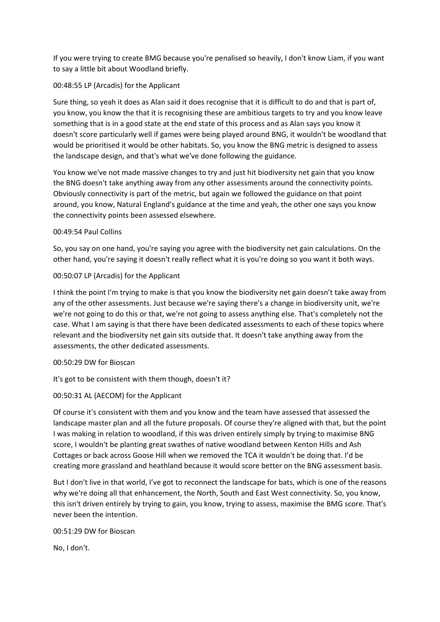If you were trying to create BMG because you're penalised so heavily, I don't know Liam, if you want to say a little bit about Woodland briefly.

# 00:48:55 LP (Arcadis) for the Applicant

Sure thing, so yeah it does as Alan said it does recognise that it is difficult to do and that is part of, you know, you know the that it is recognising these are ambitious targets to try and you know leave something that is in a good state at the end state of this process and as Alan says you know it doesn't score particularly well if games were being played around BNG, it wouldn't be woodland that would be prioritised it would be other habitats. So, you know the BNG metric is designed to assess the landscape design, and that's what we've done following the guidance.

You know we've not made massive changes to try and just hit biodiversity net gain that you know the BNG doesn't take anything away from any other assessments around the connectivity points. Obviously connectivity is part of the metric, but again we followed the guidance on that point around, you know, Natural England's guidance at the time and yeah, the other one says you know the connectivity points been assessed elsewhere.

# 00:49:54 Paul Collins

So, you say on one hand, you're saying you agree with the biodiversity net gain calculations. On the other hand, you're saying it doesn't really reflect what it is you're doing so you want it both ways.

# 00:50:07 LP (Arcadis) for the Applicant

I think the point I'm trying to make is that you know the biodiversity net gain doesn't take away from any of the other assessments. Just because we're saying there's a change in biodiversity unit, we're we're not going to do this or that, we're not going to assess anything else. That's completely not the case. What I am saying is that there have been dedicated assessments to each of these topics where relevant and the biodiversity net gain sits outside that. It doesn't take anything away from the assessments, the other dedicated assessments.

# 00:50:29 DW for Bioscan

It's got to be consistent with them though, doesn't it?

# 00:50:31 AL (AECOM) for the Applicant

Of course it's consistent with them and you know and the team have assessed that assessed the landscape master plan and all the future proposals. Of course they're aligned with that, but the point I was making in relation to woodland, if this was driven entirely simply by trying to maximise BNG score, I wouldn't be planting great swathes of native woodland between Kenton Hills and Ash Cottages or back across Goose Hill when we removed the TCA it wouldn't be doing that. I'd be creating more grassland and heathland because it would score better on the BNG assessment basis.

But I don't live in that world, I've got to reconnect the landscape for bats, which is one of the reasons why we're doing all that enhancement, the North, South and East West connectivity. So, you know, this isn't driven entirely by trying to gain, you know, trying to assess, maximise the BMG score. That's never been the intention.

# 00:51:29 DW for Bioscan

No, I don't.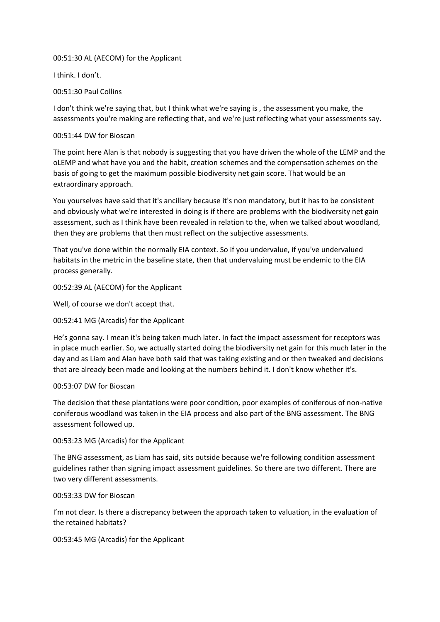# 00:51:30 AL (AECOM) for the Applicant

I think. I don't.

# 00:51:30 Paul Collins

I don't think we're saying that, but I think what we're saying is , the assessment you make, the assessments you're making are reflecting that, and we're just reflecting what your assessments say.

# 00:51:44 DW for Bioscan

The point here Alan is that nobody is suggesting that you have driven the whole of the LEMP and the oLEMP and what have you and the habit, creation schemes and the compensation schemes on the basis of going to get the maximum possible biodiversity net gain score. That would be an extraordinary approach.

You yourselves have said that it's ancillary because it's non mandatory, but it has to be consistent and obviously what we're interested in doing is if there are problems with the biodiversity net gain assessment, such as I think have been revealed in relation to the, when we talked about woodland, then they are problems that then must reflect on the subjective assessments.

That you've done within the normally EIA context. So if you undervalue, if you've undervalued habitats in the metric in the baseline state, then that undervaluing must be endemic to the EIA process generally.

# 00:52:39 AL (AECOM) for the Applicant

Well, of course we don't accept that.

00:52:41 MG (Arcadis) for the Applicant

He's gonna say. I mean it's being taken much later. In fact the impact assessment for receptors was in place much earlier. So, we actually started doing the biodiversity net gain for this much later in the day and as Liam and Alan have both said that was taking existing and or then tweaked and decisions that are already been made and looking at the numbers behind it. I don't know whether it's.

# 00:53:07 DW for Bioscan

The decision that these plantations were poor condition, poor examples of coniferous of non-native coniferous woodland was taken in the EIA process and also part of the BNG assessment. The BNG assessment followed up.

# 00:53:23 MG (Arcadis) for the Applicant

The BNG assessment, as Liam has said, sits outside because we're following condition assessment guidelines rather than signing impact assessment guidelines. So there are two different. There are two very different assessments.

# 00:53:33 DW for Bioscan

I'm not clear. Is there a discrepancy between the approach taken to valuation, in the evaluation of the retained habitats?

00:53:45 MG (Arcadis) for the Applicant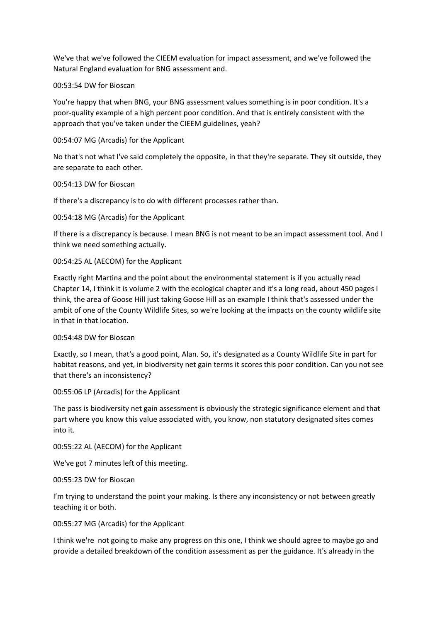We've that we've followed the CIEEM evaluation for impact assessment, and we've followed the Natural England evaluation for BNG assessment and.

#### 00:53:54 DW for Bioscan

You're happy that when BNG, your BNG assessment values something is in poor condition. It's a poor-quality example of a high percent poor condition. And that is entirely consistent with the approach that you've taken under the CIEEM guidelines, yeah?

# 00:54:07 MG (Arcadis) for the Applicant

No that's not what I've said completely the opposite, in that they're separate. They sit outside, they are separate to each other.

#### 00:54:13 DW for Bioscan

If there's a discrepancy is to do with different processes rather than.

#### 00:54:18 MG (Arcadis) for the Applicant

If there is a discrepancy is because. I mean BNG is not meant to be an impact assessment tool. And I think we need something actually.

#### 00:54:25 AL (AECOM) for the Applicant

Exactly right Martina and the point about the environmental statement is if you actually read Chapter 14, I think it is volume 2 with the ecological chapter and it's a long read, about 450 pages I think, the area of Goose Hill just taking Goose Hill as an example I think that's assessed under the ambit of one of the County Wildlife Sites, so we're looking at the impacts on the county wildlife site in that in that location.

#### 00:54:48 DW for Bioscan

Exactly, so I mean, that's a good point, Alan. So, it's designated as a County Wildlife Site in part for habitat reasons, and yet, in biodiversity net gain terms it scores this poor condition. Can you not see that there's an inconsistency?

00:55:06 LP (Arcadis) for the Applicant

The pass is biodiversity net gain assessment is obviously the strategic significance element and that part where you know this value associated with, you know, non statutory designated sites comes into it.

00:55:22 AL (AECOM) for the Applicant

We've got 7 minutes left of this meeting.

00:55:23 DW for Bioscan

I'm trying to understand the point your making. Is there any inconsistency or not between greatly teaching it or both.

00:55:27 MG (Arcadis) for the Applicant

I think we're not going to make any progress on this one, I think we should agree to maybe go and provide a detailed breakdown of the condition assessment as per the guidance. It's already in the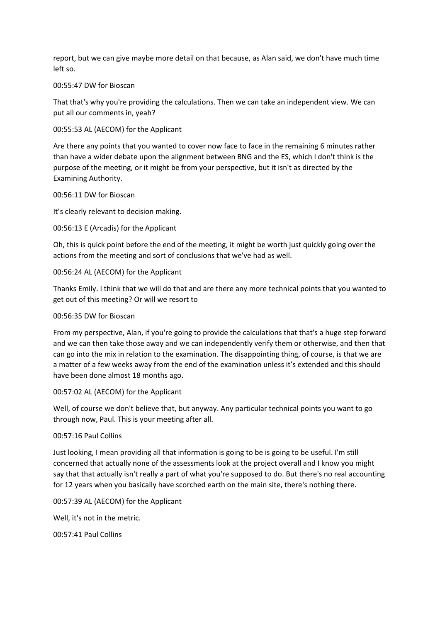report, but we can give maybe more detail on that because, as Alan said, we don't have much time left so.

#### 00:55:47 DW for Bioscan

That that's why you're providing the calculations. Then we can take an independent view. We can put all our comments in, yeah?

#### 00:55:53 AL (AECOM) for the Applicant

Are there any points that you wanted to cover now face to face in the remaining 6 minutes rather than have a wider debate upon the alignment between BNG and the ES, which I don't think is the purpose of the meeting, or it might be from your perspective, but it isn't as directed by the Examining Authority.

#### 00:56:11 DW for Bioscan

It's clearly relevant to decision making.

#### 00:56:13 E (Arcadis) for the Applicant

Oh, this is quick point before the end of the meeting, it might be worth just quickly going over the actions from the meeting and sort of conclusions that we've had as well.

#### 00:56:24 AL (AECOM) for the Applicant

Thanks Emily. I think that we will do that and are there any more technical points that you wanted to get out of this meeting? Or will we resort to

#### 00:56:35 DW for Bioscan

From my perspective, Alan, if you're going to provide the calculations that that's a huge step forward and we can then take those away and we can independently verify them or otherwise, and then that can go into the mix in relation to the examination. The disappointing thing, of course, is that we are a matter of a few weeks away from the end of the examination unless it's extended and this should have been done almost 18 months ago.

#### 00:57:02 AL (AECOM) for the Applicant

Well, of course we don't believe that, but anyway. Any particular technical points you want to go through now, Paul. This is your meeting after all.

#### 00:57:16 Paul Collins

Just looking, I mean providing all that information is going to be is going to be useful. I'm still concerned that actually none of the assessments look at the project overall and I know you might say that that actually isn't really a part of what you're supposed to do. But there's no real accounting for 12 years when you basically have scorched earth on the main site, there's nothing there.

#### 00:57:39 AL (AECOM) for the Applicant

Well, it's not in the metric.

00:57:41 Paul Collins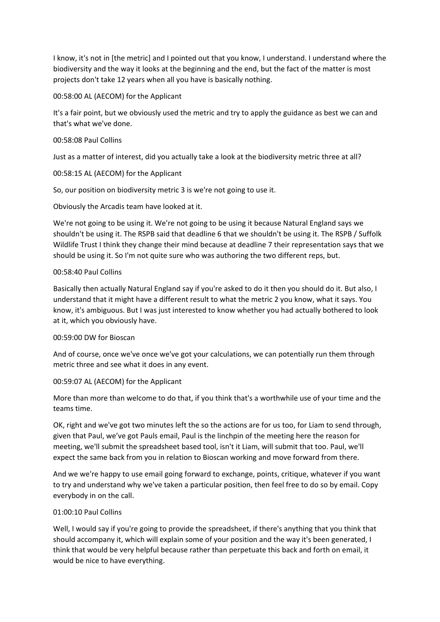I know, it's not in [the metric] and I pointed out that you know, I understand. I understand where the biodiversity and the way it looks at the beginning and the end, but the fact of the matter is most projects don't take 12 years when all you have is basically nothing.

00:58:00 AL (AECOM) for the Applicant

It's a fair point, but we obviously used the metric and try to apply the guidance as best we can and that's what we've done.

# 00:58:08 Paul Collins

Just as a matter of interest, did you actually take a look at the biodiversity metric three at all?

# 00:58:15 AL (AECOM) for the Applicant

So, our position on biodiversity metric 3 is we're not going to use it.

Obviously the Arcadis team have looked at it.

We're not going to be using it. We're not going to be using it because Natural England says we shouldn't be using it. The RSPB said that deadline 6 that we shouldn't be using it. The RSPB / Suffolk Wildlife Trust I think they change their mind because at deadline 7 their representation says that we should be using it. So I'm not quite sure who was authoring the two different reps, but.

# 00:58:40 Paul Collins

Basically then actually Natural England say if you're asked to do it then you should do it. But also, I understand that it might have a different result to what the metric 2 you know, what it says. You know, it's ambiguous. But I was just interested to know whether you had actually bothered to look at it, which you obviously have.

# 00:59:00 DW for Bioscan

And of course, once we've once we've got your calculations, we can potentially run them through metric three and see what it does in any event.

# 00:59:07 AL (AECOM) for the Applicant

More than more than welcome to do that, if you think that's a worthwhile use of your time and the teams time.

OK, right and we've got two minutes left the so the actions are for us too, for Liam to send through, given that Paul, we've got Pauls email, Paul is the linchpin of the meeting here the reason for meeting, we'll submit the spreadsheet based tool, isn't it Liam, will submit that too. Paul, we'll expect the same back from you in relation to Bioscan working and move forward from there.

And we we're happy to use email going forward to exchange, points, critique, whatever if you want to try and understand why we've taken a particular position, then feel free to do so by email. Copy everybody in on the call.

# 01:00:10 Paul Collins

Well, I would say if you're going to provide the spreadsheet, if there's anything that you think that should accompany it, which will explain some of your position and the way it's been generated, I think that would be very helpful because rather than perpetuate this back and forth on email, it would be nice to have everything.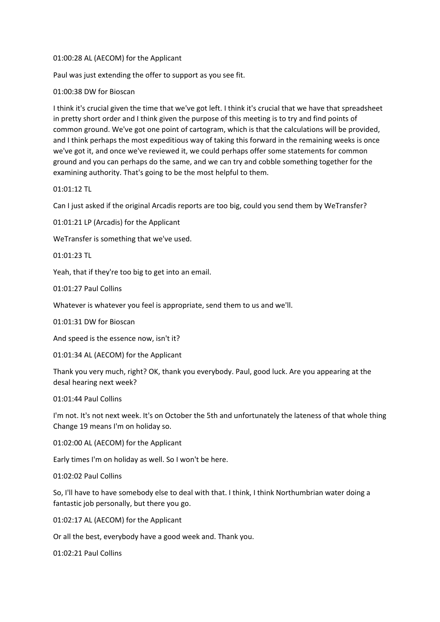#### 01:00:28 AL (AECOM) for the Applicant

Paul was just extending the offer to support as you see fit.

# 01:00:38 DW for Bioscan

I think it's crucial given the time that we've got left. I think it's crucial that we have that spreadsheet in pretty short order and I think given the purpose of this meeting is to try and find points of common ground. We've got one point of cartogram, which is that the calculations will be provided, and I think perhaps the most expeditious way of taking this forward in the remaining weeks is once we've got it, and once we've reviewed it, we could perhaps offer some statements for common ground and you can perhaps do the same, and we can try and cobble something together for the examining authority. That's going to be the most helpful to them.

# 01:01:12 TL

Can I just asked if the original Arcadis reports are too big, could you send them by WeTransfer?

01:01:21 LP (Arcadis) for the Applicant

WeTransfer is something that we've used.

01:01:23 TL

Yeah, that if they're too big to get into an email.

01:01:27 Paul Collins

Whatever is whatever you feel is appropriate, send them to us and we'll.

# 01:01:31 DW for Bioscan

And speed is the essence now, isn't it?

01:01:34 AL (AECOM) for the Applicant

Thank you very much, right? OK, thank you everybody. Paul, good luck. Are you appearing at the desal hearing next week?

# 01:01:44 Paul Collins

I'm not. It's not next week. It's on October the 5th and unfortunately the lateness of that whole thing Change 19 means I'm on holiday so.

01:02:00 AL (AECOM) for the Applicant

Early times I'm on holiday as well. So I won't be here.

# 01:02:02 Paul Collins

So, I'll have to have somebody else to deal with that. I think, I think Northumbrian water doing a fantastic job personally, but there you go.

01:02:17 AL (AECOM) for the Applicant

Or all the best, everybody have a good week and. Thank you.

01:02:21 Paul Collins